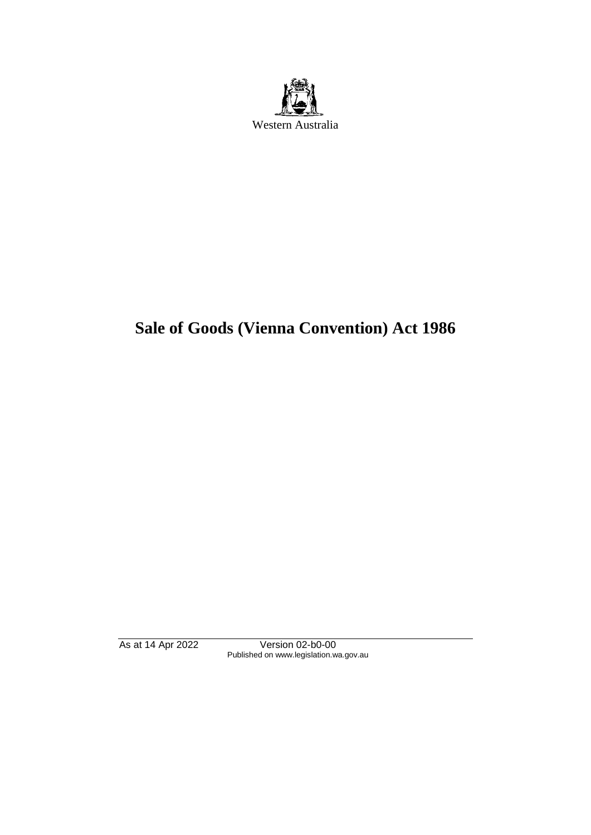

# **Sale of Goods (Vienna Convention) Act 1986**

As at 14 Apr 2022 Version 02-b0-00 Published on www.legislation.wa.gov.au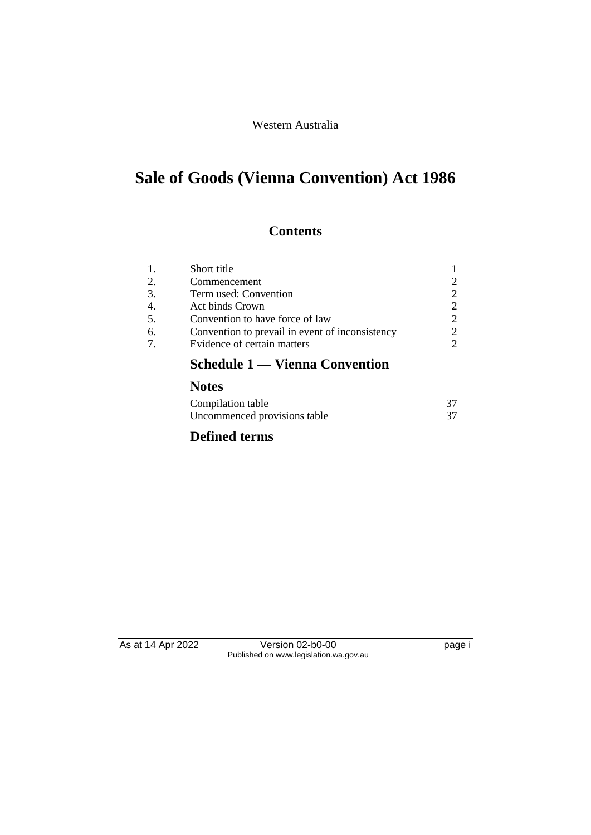## Western Australia

# **Sale of Goods (Vienna Convention) Act 1986**

# **Contents**

| 1. | Short title                                     |                       |
|----|-------------------------------------------------|-----------------------|
| 2. | Commencement                                    | $\mathcal{D}_{\cdot}$ |
| 3. | Term used: Convention                           | 2                     |
| 4. | Act binds Crown                                 | 2                     |
| 5. | Convention to have force of law                 | 2                     |
| 6. | Convention to prevail in event of inconsistency | 2                     |
| 7. | Evidence of certain matters                     | 2                     |
|    | <b>Schedule 1 — Vienna Convention</b>           |                       |

# **Notes**

| Compilation table            |    |
|------------------------------|----|
| Uncommenced provisions table | 37 |

# **Defined terms**

As at 14 Apr 2022 Version 02-b0-00 Page i Published on www.legislation.wa.gov.au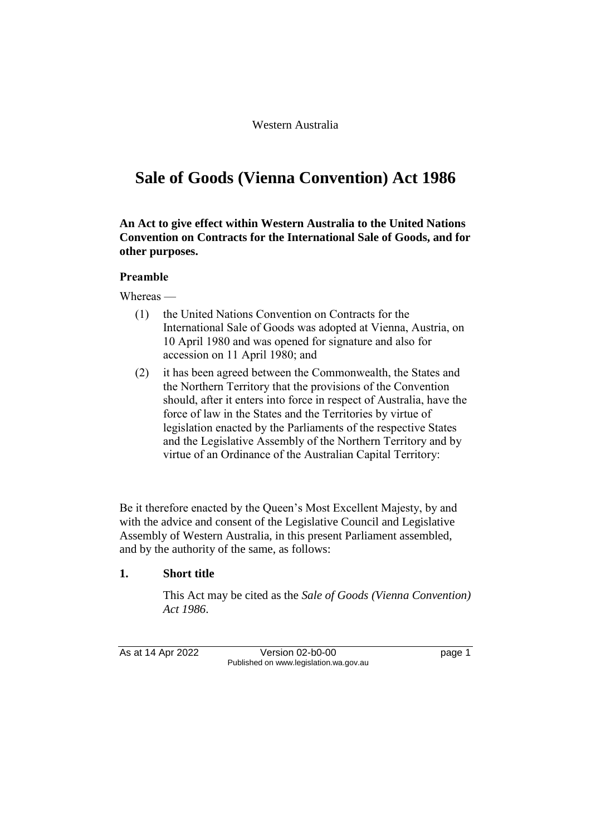# **Sale of Goods (Vienna Convention) Act 1986**

**An Act to give effect within Western Australia to the United Nations Convention on Contracts for the International Sale of Goods, and for other purposes.** 

## **Preamble**

Whereas —

- (1) the United Nations Convention on Contracts for the International Sale of Goods was adopted at Vienna, Austria, on 10 April 1980 and was opened for signature and also for accession on 11 April 1980; and
- (2) it has been agreed between the Commonwealth, the States and the Northern Territory that the provisions of the Convention should, after it enters into force in respect of Australia, have the force of law in the States and the Territories by virtue of legislation enacted by the Parliaments of the respective States and the Legislative Assembly of the Northern Territory and by virtue of an Ordinance of the Australian Capital Territory:

Be it therefore enacted by the Queen's Most Excellent Majesty, by and with the advice and consent of the Legislative Council and Legislative Assembly of Western Australia, in this present Parliament assembled, and by the authority of the same, as follows:

## **1. Short title**

This Act may be cited as the *Sale of Goods (Vienna Convention) Act 1986*.

As at 14 Apr 2022 Version 02-b0-00 Page 1 Published on www.legislation.wa.gov.au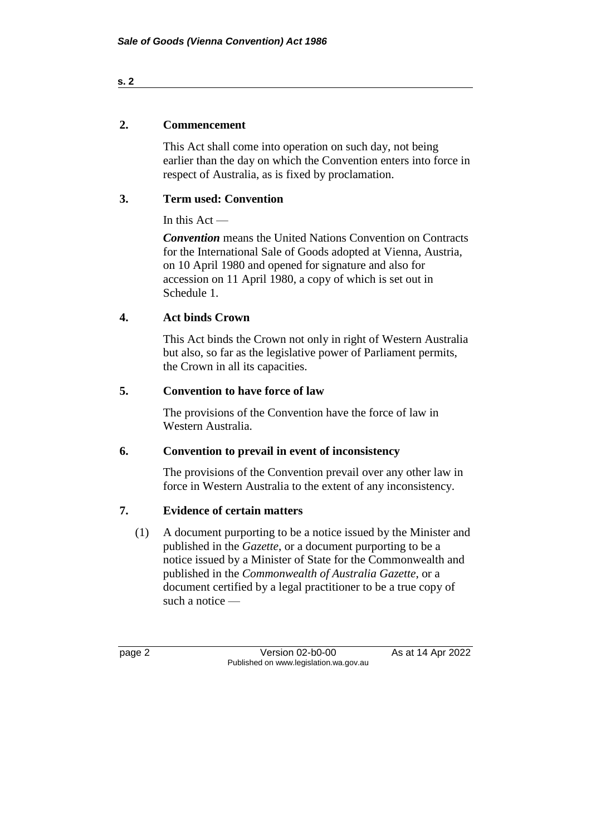## **s. 2**

## **2. Commencement**

This Act shall come into operation on such day, not being earlier than the day on which the Convention enters into force in respect of Australia, as is fixed by proclamation.

## **3. Term used: Convention**

In this  $Act$  —

*Convention* means the United Nations Convention on Contracts for the International Sale of Goods adopted at Vienna, Austria, on 10 April 1980 and opened for signature and also for accession on 11 April 1980, a copy of which is set out in Schedule 1.

## **4. Act binds Crown**

This Act binds the Crown not only in right of Western Australia but also, so far as the legislative power of Parliament permits, the Crown in all its capacities.

## **5. Convention to have force of law**

The provisions of the Convention have the force of law in Western Australia.

## **6. Convention to prevail in event of inconsistency**

The provisions of the Convention prevail over any other law in force in Western Australia to the extent of any inconsistency.

## **7. Evidence of certain matters**

(1) A document purporting to be a notice issued by the Minister and published in the *Gazette*, or a document purporting to be a notice issued by a Minister of State for the Commonwealth and published in the *Commonwealth of Australia Gazette*, or a document certified by a legal practitioner to be a true copy of such a notice —

page 2 **Version 02-b0-00** As at 14 Apr 2022 Published on www.legislation.wa.gov.au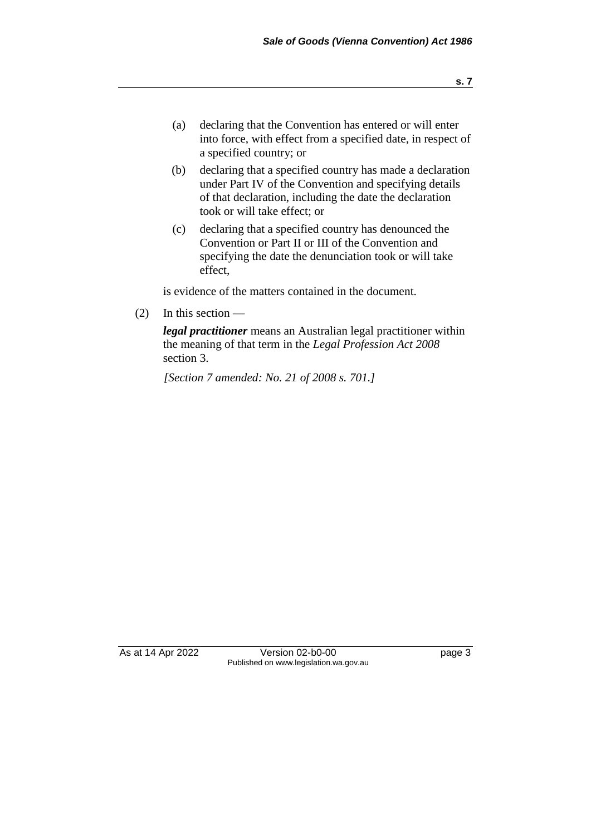- (a) declaring that the Convention has entered or will enter into force, with effect from a specified date, in respect of a specified country; or
- (b) declaring that a specified country has made a declaration under Part IV of the Convention and specifying details of that declaration, including the date the declaration took or will take effect; or
- (c) declaring that a specified country has denounced the Convention or Part II or III of the Convention and specifying the date the denunciation took or will take effect,

is evidence of the matters contained in the document.

 $(2)$  In this section —

*legal practitioner* means an Australian legal practitioner within the meaning of that term in the *Legal Profession Act 2008* section 3.

*[Section 7 amended: No. 21 of 2008 s. 701.]*

As at 14 Apr 2022 Version 02-b0-00 Page 3 Published on www.legislation.wa.gov.au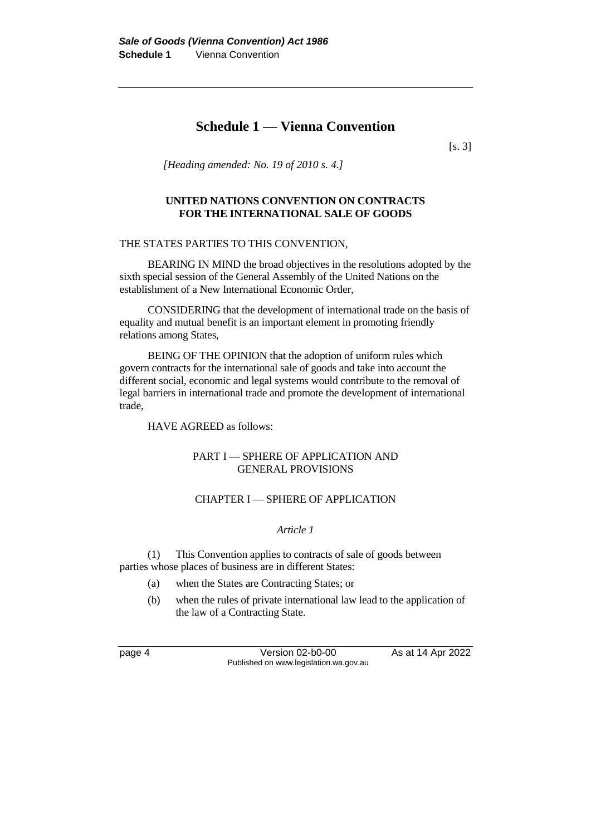## **Schedule 1 — Vienna Convention**

[s. 3]

*[Heading amended: No. 19 of 2010 s. 4.]*

## **UNITED NATIONS CONVENTION ON CONTRACTS FOR THE INTERNATIONAL SALE OF GOODS**

## THE STATES PARTIES TO THIS CONVENTION,

BEARING IN MIND the broad objectives in the resolutions adopted by the sixth special session of the General Assembly of the United Nations on the establishment of a New International Economic Order,

CONSIDERING that the development of international trade on the basis of equality and mutual benefit is an important element in promoting friendly relations among States,

BEING OF THE OPINION that the adoption of uniform rules which govern contracts for the international sale of goods and take into account the different social, economic and legal systems would contribute to the removal of legal barriers in international trade and promote the development of international trade,

HAVE AGREED as follows:

## PART I — SPHERE OF APPLICATION AND GENERAL PROVISIONS

## CHAPTER I — SPHERE OF APPLICATION

## *Article 1*

(1) This Convention applies to contracts of sale of goods between parties whose places of business are in different States:

- (a) when the States are Contracting States; or
- (b) when the rules of private international law lead to the application of the law of a Contracting State.

page 4 Version 02-b0-00 As at 14 Apr 2022 Published on www.legislation.wa.gov.au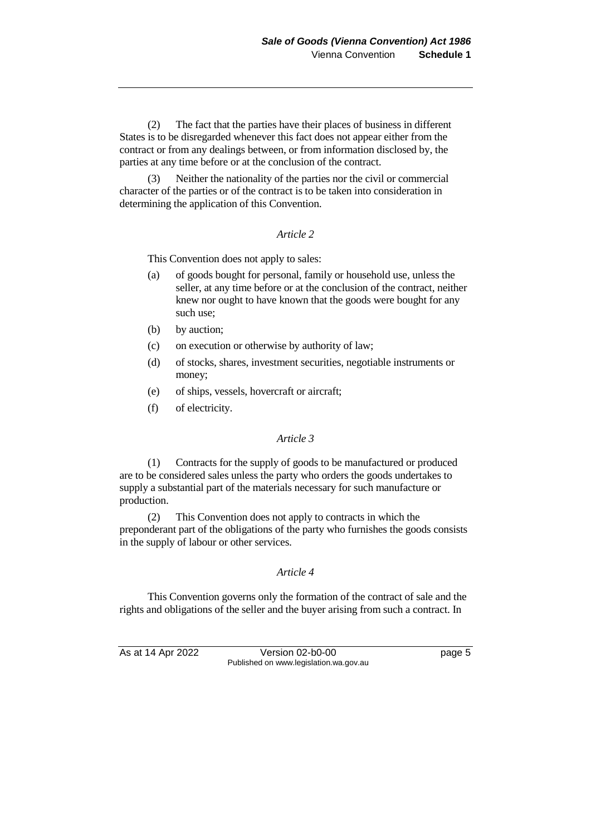(2) The fact that the parties have their places of business in different States is to be disregarded whenever this fact does not appear either from the contract or from any dealings between, or from information disclosed by, the parties at any time before or at the conclusion of the contract.

(3) Neither the nationality of the parties nor the civil or commercial character of the parties or of the contract is to be taken into consideration in determining the application of this Convention.

## *Article 2*

This Convention does not apply to sales:

- (a) of goods bought for personal, family or household use, unless the seller, at any time before or at the conclusion of the contract, neither knew nor ought to have known that the goods were bought for any such use;
- (b) by auction;
- (c) on execution or otherwise by authority of law;
- (d) of stocks, shares, investment securities, negotiable instruments or money;
- (e) of ships, vessels, hovercraft or aircraft;
- (f) of electricity.

#### *Article 3*

(1) Contracts for the supply of goods to be manufactured or produced are to be considered sales unless the party who orders the goods undertakes to supply a substantial part of the materials necessary for such manufacture or production.

(2) This Convention does not apply to contracts in which the preponderant part of the obligations of the party who furnishes the goods consists in the supply of labour or other services.

## *Article 4*

This Convention governs only the formation of the contract of sale and the rights and obligations of the seller and the buyer arising from such a contract. In

As at 14 Apr 2022 Version 02-b0-00 Page 5 Published on www.legislation.wa.gov.au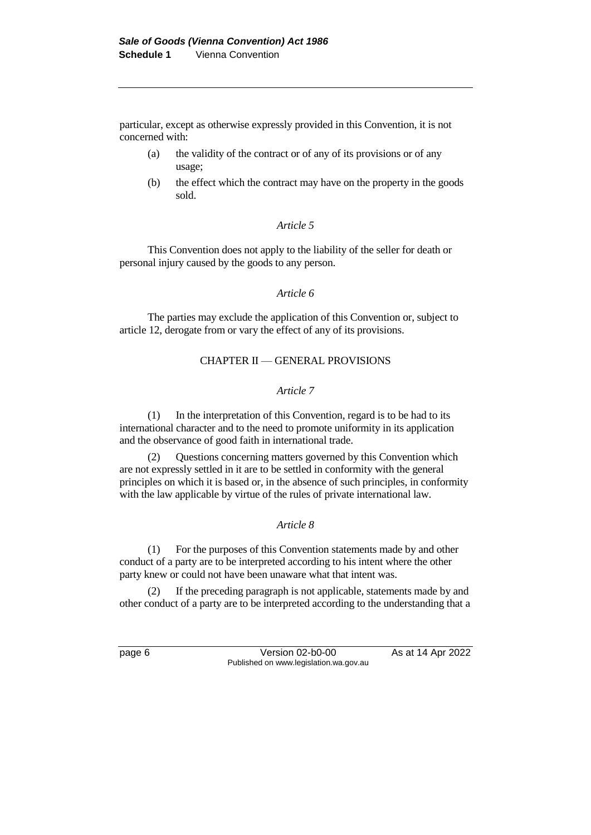particular, except as otherwise expressly provided in this Convention, it is not concerned with:

- (a) the validity of the contract or of any of its provisions or of any usage;
- (b) the effect which the contract may have on the property in the goods sold.

## *Article 5*

This Convention does not apply to the liability of the seller for death or personal injury caused by the goods to any person.

## *Article 6*

The parties may exclude the application of this Convention or, subject to article 12, derogate from or vary the effect of any of its provisions.

## CHAPTER II — GENERAL PROVISIONS

## *Article 7*

(1) In the interpretation of this Convention, regard is to be had to its international character and to the need to promote uniformity in its application and the observance of good faith in international trade.

(2) Questions concerning matters governed by this Convention which are not expressly settled in it are to be settled in conformity with the general principles on which it is based or, in the absence of such principles, in conformity with the law applicable by virtue of the rules of private international law.

#### *Article 8*

(1) For the purposes of this Convention statements made by and other conduct of a party are to be interpreted according to his intent where the other party knew or could not have been unaware what that intent was.

(2) If the preceding paragraph is not applicable, statements made by and other conduct of a party are to be interpreted according to the understanding that a

page 6 Version 02-b0-00 As at 14 Apr 2022 Published on www.legislation.wa.gov.au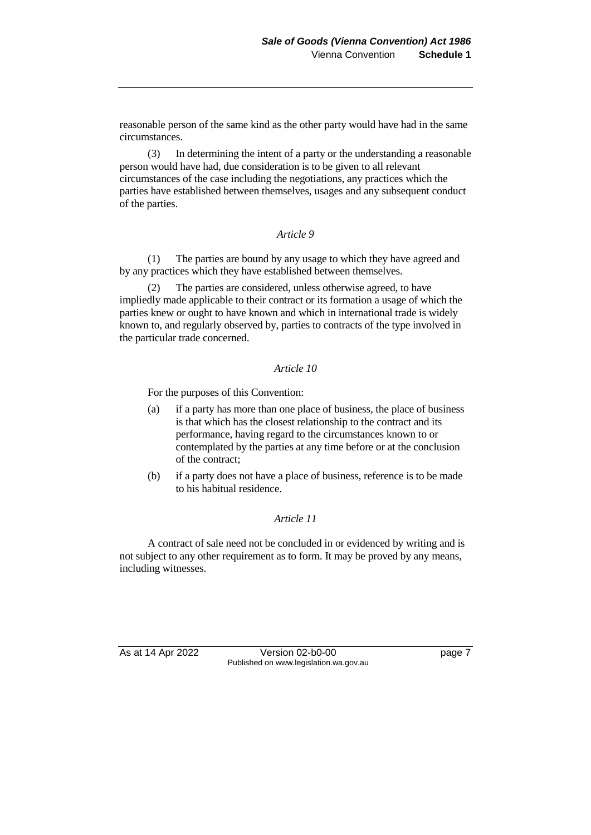reasonable person of the same kind as the other party would have had in the same circumstances.

(3) In determining the intent of a party or the understanding a reasonable person would have had, due consideration is to be given to all relevant circumstances of the case including the negotiations, any practices which the parties have established between themselves, usages and any subsequent conduct of the parties.

## *Article 9*

(1) The parties are bound by any usage to which they have agreed and by any practices which they have established between themselves.

(2) The parties are considered, unless otherwise agreed, to have impliedly made applicable to their contract or its formation a usage of which the parties knew or ought to have known and which in international trade is widely known to, and regularly observed by, parties to contracts of the type involved in the particular trade concerned.

## *Article 10*

For the purposes of this Convention:

- (a) if a party has more than one place of business, the place of business is that which has the closest relationship to the contract and its performance, having regard to the circumstances known to or contemplated by the parties at any time before or at the conclusion of the contract;
- (b) if a party does not have a place of business, reference is to be made to his habitual residence.

## *Article 11*

A contract of sale need not be concluded in or evidenced by writing and is not subject to any other requirement as to form. It may be proved by any means, including witnesses.

As at 14 Apr 2022 Version 02-b0-00 Page 7 Published on www.legislation.wa.gov.au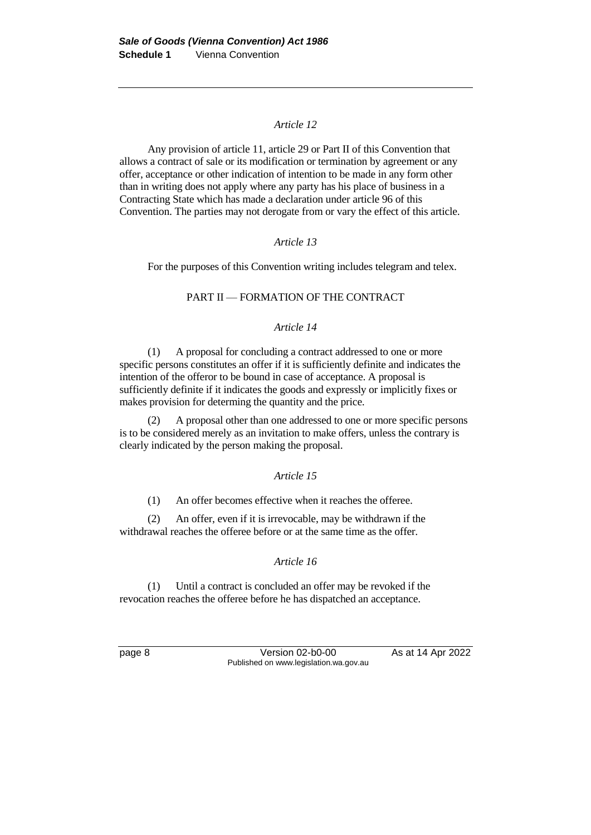Any provision of article 11, article 29 or Part II of this Convention that allows a contract of sale or its modification or termination by agreement or any offer, acceptance or other indication of intention to be made in any form other than in writing does not apply where any party has his place of business in a Contracting State which has made a declaration under article 96 of this Convention. The parties may not derogate from or vary the effect of this article.

## *Article 13*

For the purposes of this Convention writing includes telegram and telex.

## PART II — FORMATION OF THE CONTRACT

## *Article 14*

(1) A proposal for concluding a contract addressed to one or more specific persons constitutes an offer if it is sufficiently definite and indicates the intention of the offeror to be bound in case of acceptance. A proposal is sufficiently definite if it indicates the goods and expressly or implicitly fixes or makes provision for determing the quantity and the price.

(2) A proposal other than one addressed to one or more specific persons is to be considered merely as an invitation to make offers, unless the contrary is clearly indicated by the person making the proposal.

## *Article 15*

(1) An offer becomes effective when it reaches the offeree.

(2) An offer, even if it is irrevocable, may be withdrawn if the withdrawal reaches the offeree before or at the same time as the offer.

## *Article 16*

(1) Until a contract is concluded an offer may be revoked if the revocation reaches the offeree before he has dispatched an acceptance.

page 8 Version 02-b0-00 As at 14 Apr 2022 Published on www.legislation.wa.gov.au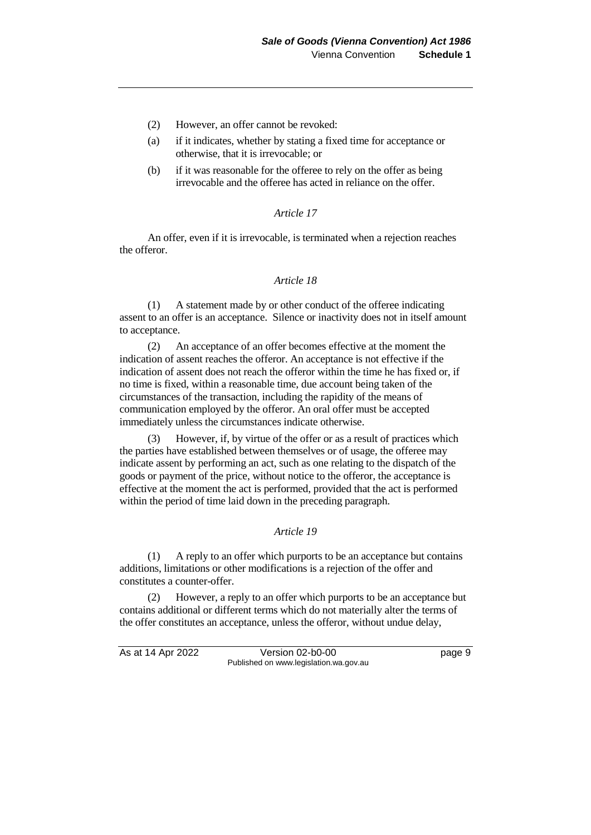- (2) However, an offer cannot be revoked:
- (a) if it indicates, whether by stating a fixed time for acceptance or otherwise, that it is irrevocable; or
- (b) if it was reasonable for the offeree to rely on the offer as being irrevocable and the offeree has acted in reliance on the offer.

An offer, even if it is irrevocable, is terminated when a rejection reaches the offeror.

## *Article 18*

(1) A statement made by or other conduct of the offeree indicating assent to an offer is an acceptance. Silence or inactivity does not in itself amount to acceptance.

(2) An acceptance of an offer becomes effective at the moment the indication of assent reaches the offeror. An acceptance is not effective if the indication of assent does not reach the offeror within the time he has fixed or, if no time is fixed, within a reasonable time, due account being taken of the circumstances of the transaction, including the rapidity of the means of communication employed by the offeror. An oral offer must be accepted immediately unless the circumstances indicate otherwise.

(3) However, if, by virtue of the offer or as a result of practices which the parties have established between themselves or of usage, the offeree may indicate assent by performing an act, such as one relating to the dispatch of the goods or payment of the price, without notice to the offeror, the acceptance is effective at the moment the act is performed, provided that the act is performed within the period of time laid down in the preceding paragraph.

#### *Article 19*

(1) A reply to an offer which purports to be an acceptance but contains additions, limitations or other modifications is a rejection of the offer and constitutes a counter-offer.

(2) However, a reply to an offer which purports to be an acceptance but contains additional or different terms which do not materially alter the terms of the offer constitutes an acceptance, unless the offeror, without undue delay,

| As at 14 Apr 2022 | Version 02-b0-00                       | page 9 |
|-------------------|----------------------------------------|--------|
|                   | Published on www.legislation.wa.gov.au |        |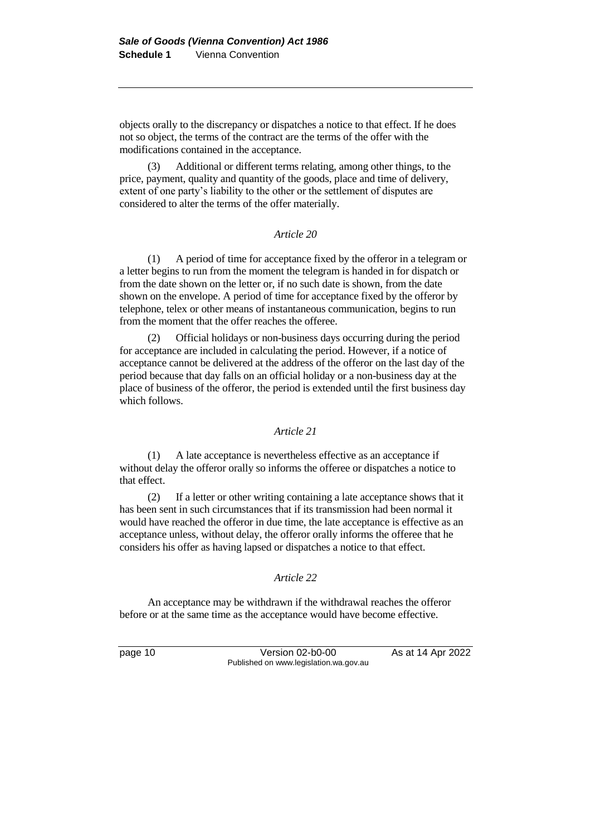objects orally to the discrepancy or dispatches a notice to that effect. If he does not so object, the terms of the contract are the terms of the offer with the modifications contained in the acceptance.

(3) Additional or different terms relating, among other things, to the price, payment, quality and quantity of the goods, place and time of delivery, extent of one party's liability to the other or the settlement of disputes are considered to alter the terms of the offer materially.

## *Article 20*

(1) A period of time for acceptance fixed by the offeror in a telegram or a letter begins to run from the moment the telegram is handed in for dispatch or from the date shown on the letter or, if no such date is shown, from the date shown on the envelope. A period of time for acceptance fixed by the offeror by telephone, telex or other means of instantaneous communication, begins to run from the moment that the offer reaches the offeree.

(2) Official holidays or non-business days occurring during the period for acceptance are included in calculating the period. However, if a notice of acceptance cannot be delivered at the address of the offeror on the last day of the period because that day falls on an official holiday or a non-business day at the place of business of the offeror, the period is extended until the first business day which follows.

#### *Article 21*

(1) A late acceptance is nevertheless effective as an acceptance if without delay the offeror orally so informs the offeree or dispatches a notice to that effect.

(2) If a letter or other writing containing a late acceptance shows that it has been sent in such circumstances that if its transmission had been normal it would have reached the offeror in due time, the late acceptance is effective as an acceptance unless, without delay, the offeror orally informs the offeree that he considers his offer as having lapsed or dispatches a notice to that effect.

#### *Article 22*

An acceptance may be withdrawn if the withdrawal reaches the offeror before or at the same time as the acceptance would have become effective.

page 10 **Version 02-b0-00** As at 14 Apr 2022 Published on www.legislation.wa.gov.au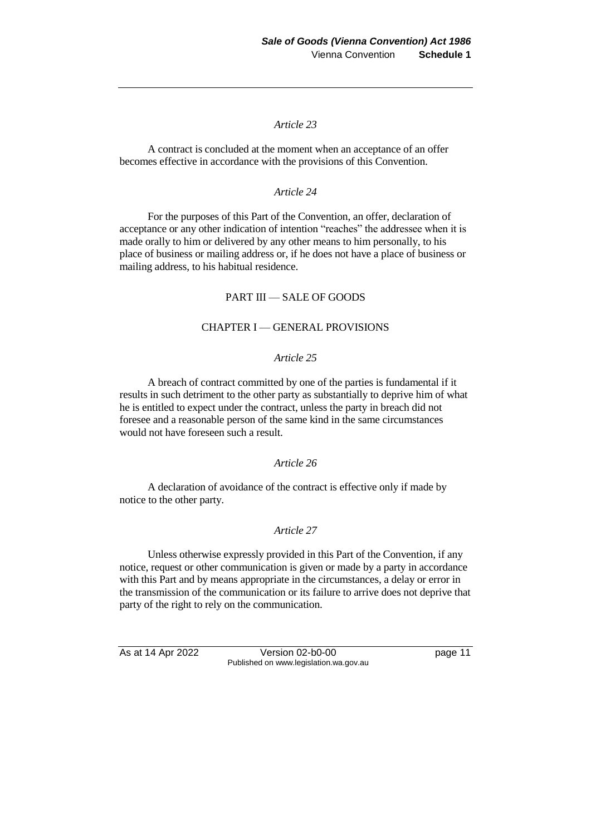A contract is concluded at the moment when an acceptance of an offer becomes effective in accordance with the provisions of this Convention.

## *Article 24*

For the purposes of this Part of the Convention, an offer, declaration of acceptance or any other indication of intention "reaches" the addressee when it is made orally to him or delivered by any other means to him personally, to his place of business or mailing address or, if he does not have a place of business or mailing address, to his habitual residence.

#### PART III — SALE OF GOODS

## CHAPTER I — GENERAL PROVISIONS

## *Article 25*

A breach of contract committed by one of the parties is fundamental if it results in such detriment to the other party as substantially to deprive him of what he is entitled to expect under the contract, unless the party in breach did not foresee and a reasonable person of the same kind in the same circumstances would not have foreseen such a result.

## *Article 26*

A declaration of avoidance of the contract is effective only if made by notice to the other party.

## *Article 27*

Unless otherwise expressly provided in this Part of the Convention, if any notice, request or other communication is given or made by a party in accordance with this Part and by means appropriate in the circumstances, a delay or error in the transmission of the communication or its failure to arrive does not deprive that party of the right to rely on the communication.

As at 14 Apr 2022 Version 02-b0-00 page 11 Published on www.legislation.wa.gov.au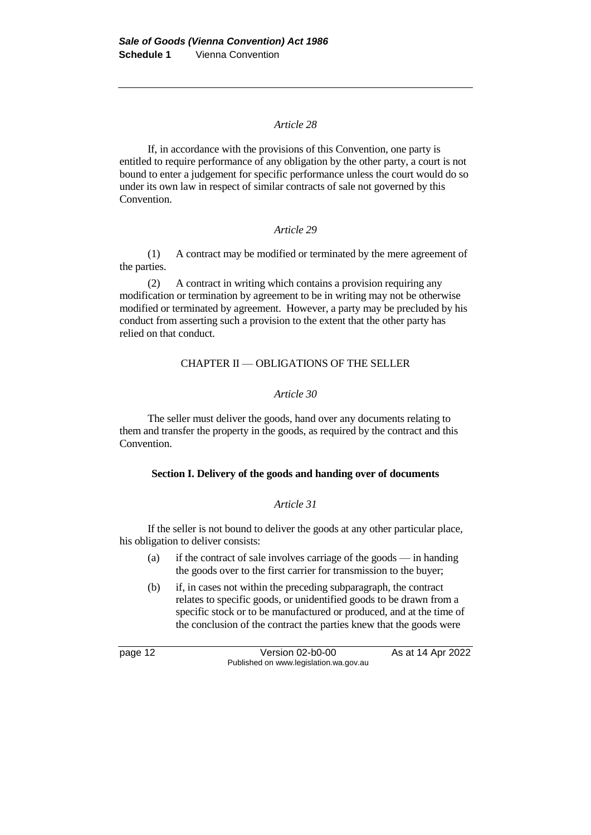If, in accordance with the provisions of this Convention, one party is entitled to require performance of any obligation by the other party, a court is not bound to enter a judgement for specific performance unless the court would do so under its own law in respect of similar contracts of sale not governed by this Convention.

#### *Article 29*

(1) A contract may be modified or terminated by the mere agreement of the parties.

(2) A contract in writing which contains a provision requiring any modification or termination by agreement to be in writing may not be otherwise modified or terminated by agreement. However, a party may be precluded by his conduct from asserting such a provision to the extent that the other party has relied on that conduct.

## CHAPTER II — OBLIGATIONS OF THE SELLER

## *Article 30*

The seller must deliver the goods, hand over any documents relating to them and transfer the property in the goods, as required by the contract and this Convention.

## **Section I. Delivery of the goods and handing over of documents**

## *Article 31*

If the seller is not bound to deliver the goods at any other particular place, his obligation to deliver consists:

- (a) if the contract of sale involves carriage of the goods in handing the goods over to the first carrier for transmission to the buyer;
- (b) if, in cases not within the preceding subparagraph, the contract relates to specific goods, or unidentified goods to be drawn from a specific stock or to be manufactured or produced, and at the time of the conclusion of the contract the parties knew that the goods were

page 12 **Version 02-b0-00** As at 14 Apr 2022 Published on www.legislation.wa.gov.au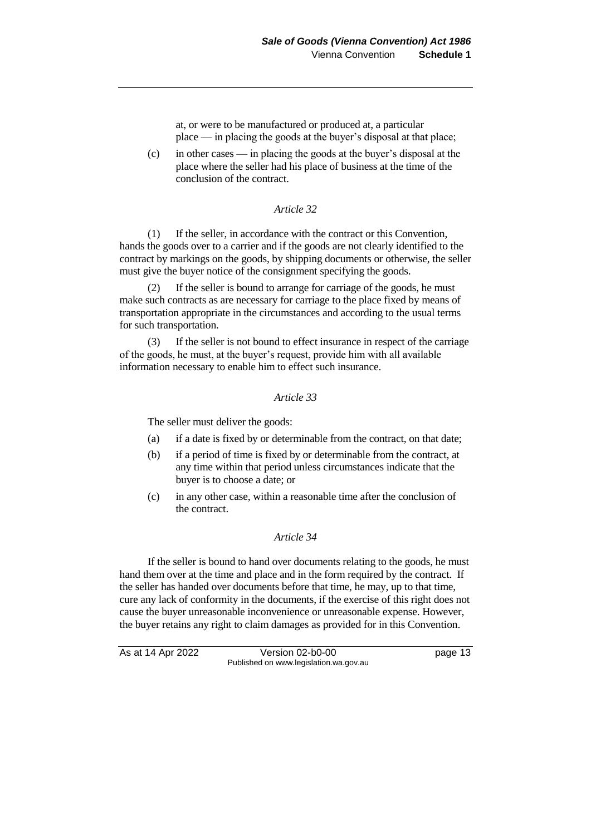at, or were to be manufactured or produced at, a particular place — in placing the goods at the buyer's disposal at that place;

(c) in other cases — in placing the goods at the buyer's disposal at the place where the seller had his place of business at the time of the conclusion of the contract.

#### *Article 32*

(1) If the seller, in accordance with the contract or this Convention, hands the goods over to a carrier and if the goods are not clearly identified to the contract by markings on the goods, by shipping documents or otherwise, the seller must give the buyer notice of the consignment specifying the goods.

(2) If the seller is bound to arrange for carriage of the goods, he must make such contracts as are necessary for carriage to the place fixed by means of transportation appropriate in the circumstances and according to the usual terms for such transportation.

If the seller is not bound to effect insurance in respect of the carriage of the goods, he must, at the buyer's request, provide him with all available information necessary to enable him to effect such insurance.

## *Article 33*

The seller must deliver the goods:

- (a) if a date is fixed by or determinable from the contract, on that date;
- (b) if a period of time is fixed by or determinable from the contract, at any time within that period unless circumstances indicate that the buyer is to choose a date; or
- (c) in any other case, within a reasonable time after the conclusion of the contract.

## *Article 34*

If the seller is bound to hand over documents relating to the goods, he must hand them over at the time and place and in the form required by the contract. If the seller has handed over documents before that time, he may, up to that time, cure any lack of conformity in the documents, if the exercise of this right does not cause the buyer unreasonable inconvenience or unreasonable expense. However, the buyer retains any right to claim damages as provided for in this Convention.

As at 14 Apr 2022 Version 02-b0-00 page 13 Published on www.legislation.wa.gov.au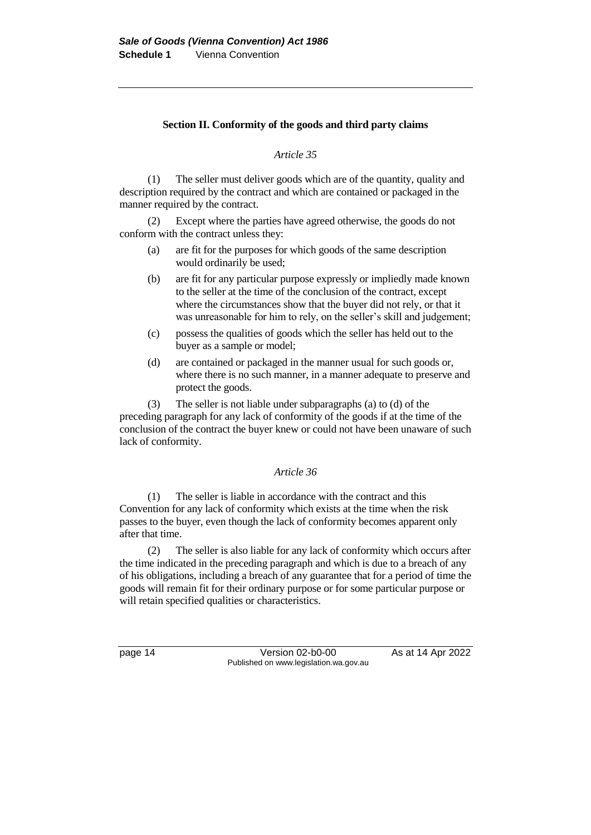## **Section II. Conformity of the goods and third party claims**

## *Article 35*

(1) The seller must deliver goods which are of the quantity, quality and description required by the contract and which are contained or packaged in the manner required by the contract.

(2) Except where the parties have agreed otherwise, the goods do not conform with the contract unless they:

- (a) are fit for the purposes for which goods of the same description would ordinarily be used;
- (b) are fit for any particular purpose expressly or impliedly made known to the seller at the time of the conclusion of the contract, except where the circumstances show that the buyer did not rely, or that it was unreasonable for him to rely, on the seller's skill and judgement;
- (c) possess the qualities of goods which the seller has held out to the buyer as a sample or model;
- (d) are contained or packaged in the manner usual for such goods or, where there is no such manner, in a manner adequate to preserve and protect the goods.

(3) The seller is not liable under subparagraphs (a) to (d) of the preceding paragraph for any lack of conformity of the goods if at the time of the conclusion of the contract the buyer knew or could not have been unaware of such lack of conformity.

## *Article 36*

(1) The seller is liable in accordance with the contract and this Convention for any lack of conformity which exists at the time when the risk passes to the buyer, even though the lack of conformity becomes apparent only after that time.

(2) The seller is also liable for any lack of conformity which occurs after the time indicated in the preceding paragraph and which is due to a breach of any of his obligations, including a breach of any guarantee that for a period of time the goods will remain fit for their ordinary purpose or for some particular purpose or will retain specified qualities or characteristics.

page 14 **Version 02-b0-00** As at 14 Apr 2022 Published on www.legislation.wa.gov.au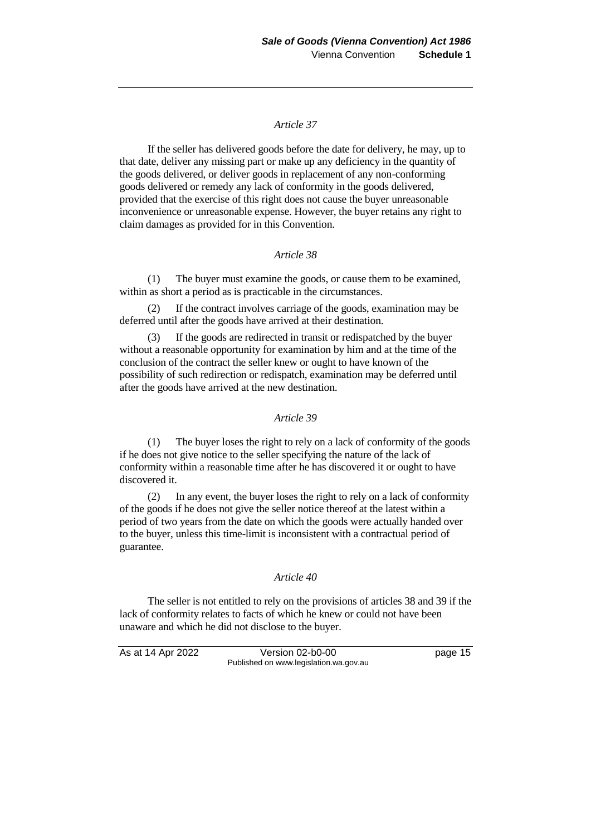If the seller has delivered goods before the date for delivery, he may, up to that date, deliver any missing part or make up any deficiency in the quantity of the goods delivered, or deliver goods in replacement of any non-conforming goods delivered or remedy any lack of conformity in the goods delivered, provided that the exercise of this right does not cause the buyer unreasonable inconvenience or unreasonable expense. However, the buyer retains any right to claim damages as provided for in this Convention.

## *Article 38*

(1) The buyer must examine the goods, or cause them to be examined, within as short a period as is practicable in the circumstances.

(2) If the contract involves carriage of the goods, examination may be deferred until after the goods have arrived at their destination.

(3) If the goods are redirected in transit or redispatched by the buyer without a reasonable opportunity for examination by him and at the time of the conclusion of the contract the seller knew or ought to have known of the possibility of such redirection or redispatch, examination may be deferred until after the goods have arrived at the new destination.

## *Article 39*

(1) The buyer loses the right to rely on a lack of conformity of the goods if he does not give notice to the seller specifying the nature of the lack of conformity within a reasonable time after he has discovered it or ought to have discovered it.

(2) In any event, the buyer loses the right to rely on a lack of conformity of the goods if he does not give the seller notice thereof at the latest within a period of two years from the date on which the goods were actually handed over to the buyer, unless this time-limit is inconsistent with a contractual period of guarantee.

#### *Article 40*

The seller is not entitled to rely on the provisions of articles 38 and 39 if the lack of conformity relates to facts of which he knew or could not have been unaware and which he did not disclose to the buyer.

| As at 14 Apr 2022 | Version 02-b0-00                       | page 15 |
|-------------------|----------------------------------------|---------|
|                   | Published on www.legislation.wa.gov.au |         |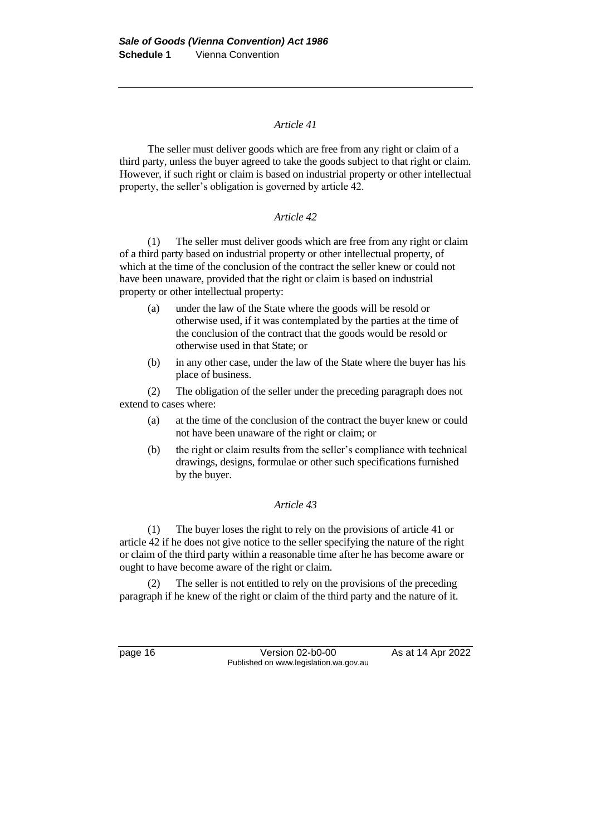The seller must deliver goods which are free from any right or claim of a third party, unless the buyer agreed to take the goods subject to that right or claim. However, if such right or claim is based on industrial property or other intellectual property, the seller's obligation is governed by article 42.

## *Article 42*

(1) The seller must deliver goods which are free from any right or claim of a third party based on industrial property or other intellectual property, of which at the time of the conclusion of the contract the seller knew or could not have been unaware, provided that the right or claim is based on industrial property or other intellectual property:

- (a) under the law of the State where the goods will be resold or otherwise used, if it was contemplated by the parties at the time of the conclusion of the contract that the goods would be resold or otherwise used in that State; or
- (b) in any other case, under the law of the State where the buyer has his place of business.

(2) The obligation of the seller under the preceding paragraph does not extend to cases where:

- (a) at the time of the conclusion of the contract the buyer knew or could not have been unaware of the right or claim; or
- (b) the right or claim results from the seller's compliance with technical drawings, designs, formulae or other such specifications furnished by the buyer.

## *Article 43*

(1) The buyer loses the right to rely on the provisions of article 41 or article 42 if he does not give notice to the seller specifying the nature of the right or claim of the third party within a reasonable time after he has become aware or ought to have become aware of the right or claim.

(2) The seller is not entitled to rely on the provisions of the preceding paragraph if he knew of the right or claim of the third party and the nature of it.

page 16 **Version 02-b0-00** As at 14 Apr 2022 Published on www.legislation.wa.gov.au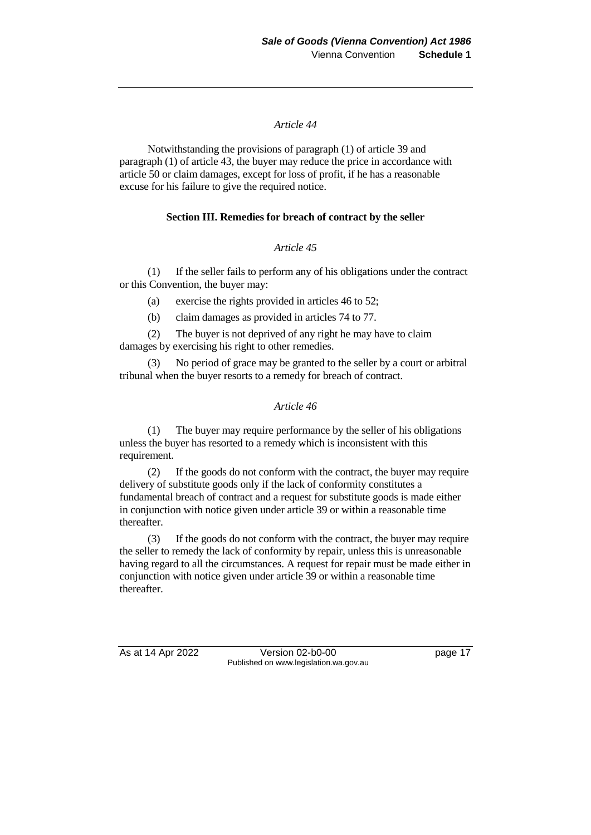Notwithstanding the provisions of paragraph (1) of article 39 and paragraph (1) of article 43, the buyer may reduce the price in accordance with article 50 or claim damages, except for loss of profit, if he has a reasonable excuse for his failure to give the required notice.

## **Section III. Remedies for breach of contract by the seller**

## *Article 45*

(1) If the seller fails to perform any of his obligations under the contract or this Convention, the buyer may:

(a) exercise the rights provided in articles 46 to 52;

(b) claim damages as provided in articles 74 to 77.

(2) The buyer is not deprived of any right he may have to claim damages by exercising his right to other remedies.

(3) No period of grace may be granted to the seller by a court or arbitral tribunal when the buyer resorts to a remedy for breach of contract.

## *Article 46*

(1) The buyer may require performance by the seller of his obligations unless the buyer has resorted to a remedy which is inconsistent with this requirement.

(2) If the goods do not conform with the contract, the buyer may require delivery of substitute goods only if the lack of conformity constitutes a fundamental breach of contract and a request for substitute goods is made either in conjunction with notice given under article 39 or within a reasonable time thereafter.

(3) If the goods do not conform with the contract, the buyer may require the seller to remedy the lack of conformity by repair, unless this is unreasonable having regard to all the circumstances. A request for repair must be made either in conjunction with notice given under article 39 or within a reasonable time thereafter.

As at 14 Apr 2022 Version 02-b0-00 page 17 Published on www.legislation.wa.gov.au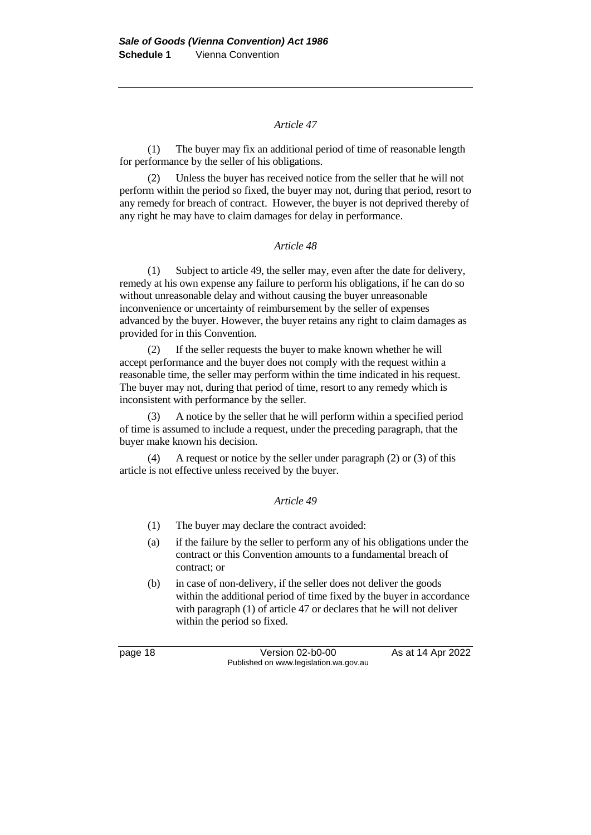(1) The buyer may fix an additional period of time of reasonable length for performance by the seller of his obligations.

(2) Unless the buyer has received notice from the seller that he will not perform within the period so fixed, the buyer may not, during that period, resort to any remedy for breach of contract. However, the buyer is not deprived thereby of any right he may have to claim damages for delay in performance.

## *Article 48*

(1) Subject to article 49, the seller may, even after the date for delivery, remedy at his own expense any failure to perform his obligations, if he can do so without unreasonable delay and without causing the buyer unreasonable inconvenience or uncertainty of reimbursement by the seller of expenses advanced by the buyer. However, the buyer retains any right to claim damages as provided for in this Convention.

(2) If the seller requests the buyer to make known whether he will accept performance and the buyer does not comply with the request within a reasonable time, the seller may perform within the time indicated in his request. The buyer may not, during that period of time, resort to any remedy which is inconsistent with performance by the seller.

(3) A notice by the seller that he will perform within a specified period of time is assumed to include a request, under the preceding paragraph, that the buyer make known his decision.

(4) A request or notice by the seller under paragraph (2) or (3) of this article is not effective unless received by the buyer.

#### *Article 49*

- (1) The buyer may declare the contract avoided:
- (a) if the failure by the seller to perform any of his obligations under the contract or this Convention amounts to a fundamental breach of contract; or
- (b) in case of non-delivery, if the seller does not deliver the goods within the additional period of time fixed by the buyer in accordance with paragraph (1) of article 47 or declares that he will not deliver within the period so fixed.

page 18 **Version 02-b0-00** As at 14 Apr 2022 Published on www.legislation.wa.gov.au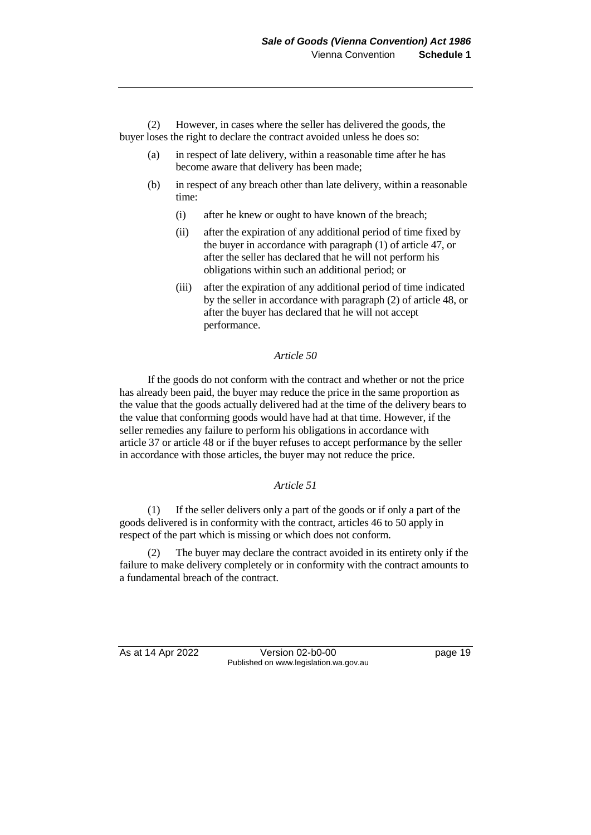(2) However, in cases where the seller has delivered the goods, the buyer loses the right to declare the contract avoided unless he does so:

- (a) in respect of late delivery, within a reasonable time after he has become aware that delivery has been made;
- (b) in respect of any breach other than late delivery, within a reasonable time:
	- (i) after he knew or ought to have known of the breach;
	- (ii) after the expiration of any additional period of time fixed by the buyer in accordance with paragraph (1) of article 47, or after the seller has declared that he will not perform his obligations within such an additional period; or
	- (iii) after the expiration of any additional period of time indicated by the seller in accordance with paragraph (2) of article 48, or after the buyer has declared that he will not accept performance.

## *Article 50*

If the goods do not conform with the contract and whether or not the price has already been paid, the buyer may reduce the price in the same proportion as the value that the goods actually delivered had at the time of the delivery bears to the value that conforming goods would have had at that time. However, if the seller remedies any failure to perform his obligations in accordance with article 37 or article 48 or if the buyer refuses to accept performance by the seller in accordance with those articles, the buyer may not reduce the price.

## *Article 51*

(1) If the seller delivers only a part of the goods or if only a part of the goods delivered is in conformity with the contract, articles 46 to 50 apply in respect of the part which is missing or which does not conform.

(2) The buyer may declare the contract avoided in its entirety only if the failure to make delivery completely or in conformity with the contract amounts to a fundamental breach of the contract.

As at 14 Apr 2022 Version 02-b0-00 Page 19 Published on www.legislation.wa.gov.au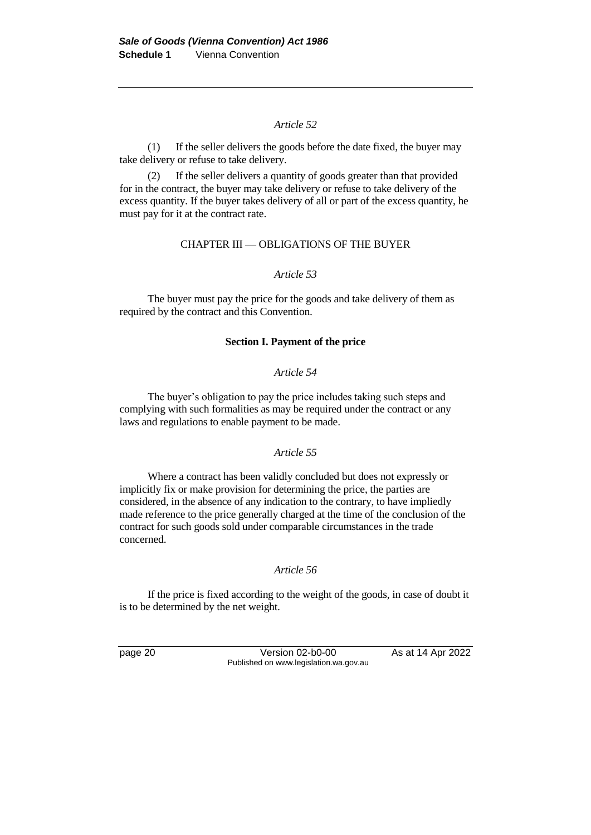(1) If the seller delivers the goods before the date fixed, the buyer may take delivery or refuse to take delivery.

(2) If the seller delivers a quantity of goods greater than that provided for in the contract, the buyer may take delivery or refuse to take delivery of the excess quantity. If the buyer takes delivery of all or part of the excess quantity, he must pay for it at the contract rate.

## CHAPTER III — OBLIGATIONS OF THE BUYER

#### *Article 53*

The buyer must pay the price for the goods and take delivery of them as required by the contract and this Convention.

#### **Section I. Payment of the price**

#### *Article 54*

The buyer's obligation to pay the price includes taking such steps and complying with such formalities as may be required under the contract or any laws and regulations to enable payment to be made.

## *Article 55*

Where a contract has been validly concluded but does not expressly or implicitly fix or make provision for determining the price, the parties are considered, in the absence of any indication to the contrary, to have impliedly made reference to the price generally charged at the time of the conclusion of the contract for such goods sold under comparable circumstances in the trade concerned.

#### *Article 56*

If the price is fixed according to the weight of the goods, in case of doubt it is to be determined by the net weight.

page 20 **Version 02-b0-00** As at 14 Apr 2022 Published on www.legislation.wa.gov.au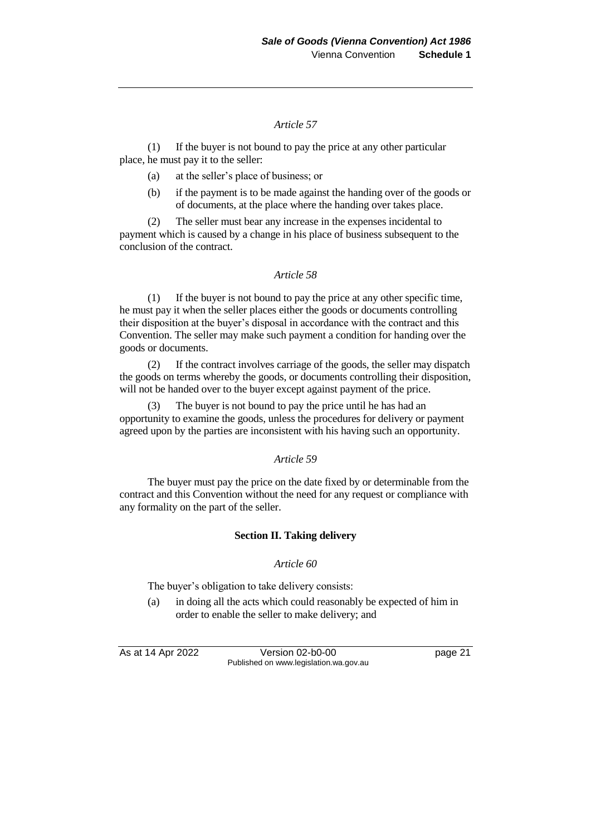(1) If the buyer is not bound to pay the price at any other particular place, he must pay it to the seller:

- (a) at the seller's place of business; or
- (b) if the payment is to be made against the handing over of the goods or of documents, at the place where the handing over takes place.

(2) The seller must bear any increase in the expenses incidental to payment which is caused by a change in his place of business subsequent to the conclusion of the contract.

## *Article 58*

(1) If the buyer is not bound to pay the price at any other specific time, he must pay it when the seller places either the goods or documents controlling their disposition at the buyer's disposal in accordance with the contract and this Convention. The seller may make such payment a condition for handing over the goods or documents.

(2) If the contract involves carriage of the goods, the seller may dispatch the goods on terms whereby the goods, or documents controlling their disposition, will not be handed over to the buyer except against payment of the price.

(3) The buyer is not bound to pay the price until he has had an opportunity to examine the goods, unless the procedures for delivery or payment agreed upon by the parties are inconsistent with his having such an opportunity.

## *Article 59*

The buyer must pay the price on the date fixed by or determinable from the contract and this Convention without the need for any request or compliance with any formality on the part of the seller.

## **Section II. Taking delivery**

## *Article 60*

The buyer's obligation to take delivery consists:

(a) in doing all the acts which could reasonably be expected of him in order to enable the seller to make delivery; and

As at 14 Apr 2022 Version 02-b0-00 Page 21 Published on www.legislation.wa.gov.au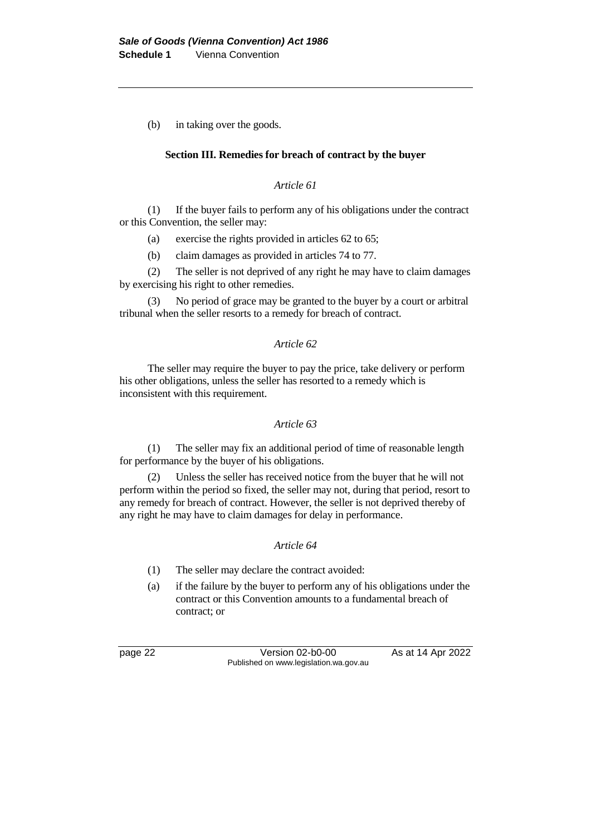(b) in taking over the goods.

## **Section III. Remedies for breach of contract by the buyer**

## *Article 61*

(1) If the buyer fails to perform any of his obligations under the contract or this Convention, the seller may:

- (a) exercise the rights provided in articles 62 to 65;
- (b) claim damages as provided in articles 74 to 77.

(2) The seller is not deprived of any right he may have to claim damages by exercising his right to other remedies.

(3) No period of grace may be granted to the buyer by a court or arbitral tribunal when the seller resorts to a remedy for breach of contract.

## *Article 62*

The seller may require the buyer to pay the price, take delivery or perform his other obligations, unless the seller has resorted to a remedy which is inconsistent with this requirement.

## *Article 63*

(1) The seller may fix an additional period of time of reasonable length for performance by the buyer of his obligations.

(2) Unless the seller has received notice from the buyer that he will not perform within the period so fixed, the seller may not, during that period, resort to any remedy for breach of contract. However, the seller is not deprived thereby of any right he may have to claim damages for delay in performance.

## *Article 64*

- (1) The seller may declare the contract avoided:
- (a) if the failure by the buyer to perform any of his obligations under the contract or this Convention amounts to a fundamental breach of contract; or

page 22 Version 02-b0-00 As at 14 Apr 2022 Published on www.legislation.wa.gov.au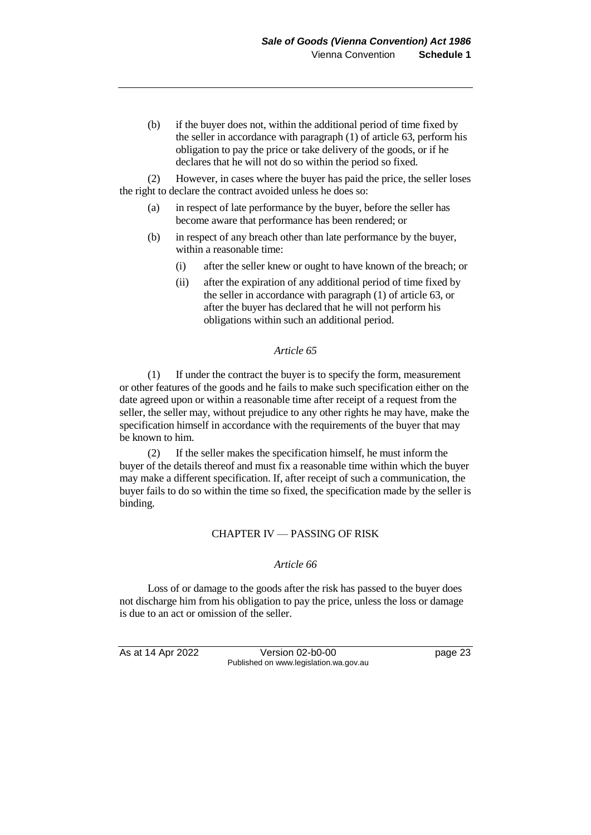(b) if the buyer does not, within the additional period of time fixed by the seller in accordance with paragraph (1) of article 63, perform his obligation to pay the price or take delivery of the goods, or if he declares that he will not do so within the period so fixed.

(2) However, in cases where the buyer has paid the price, the seller loses the right to declare the contract avoided unless he does so:

- (a) in respect of late performance by the buyer, before the seller has become aware that performance has been rendered; or
- (b) in respect of any breach other than late performance by the buyer, within a reasonable time:
	- (i) after the seller knew or ought to have known of the breach; or
	- (ii) after the expiration of any additional period of time fixed by the seller in accordance with paragraph (1) of article 63, or after the buyer has declared that he will not perform his obligations within such an additional period.

#### *Article 65*

(1) If under the contract the buyer is to specify the form, measurement or other features of the goods and he fails to make such specification either on the date agreed upon or within a reasonable time after receipt of a request from the seller, the seller may, without prejudice to any other rights he may have, make the specification himself in accordance with the requirements of the buyer that may be known to him.

(2) If the seller makes the specification himself, he must inform the buyer of the details thereof and must fix a reasonable time within which the buyer may make a different specification. If, after receipt of such a communication, the buyer fails to do so within the time so fixed, the specification made by the seller is binding.

## CHAPTER IV — PASSING OF RISK

## *Article 66*

Loss of or damage to the goods after the risk has passed to the buyer does not discharge him from his obligation to pay the price, unless the loss or damage is due to an act or omission of the seller.

As at 14 Apr 2022 Version 02-b0-00 Page 23 Published on www.legislation.wa.gov.au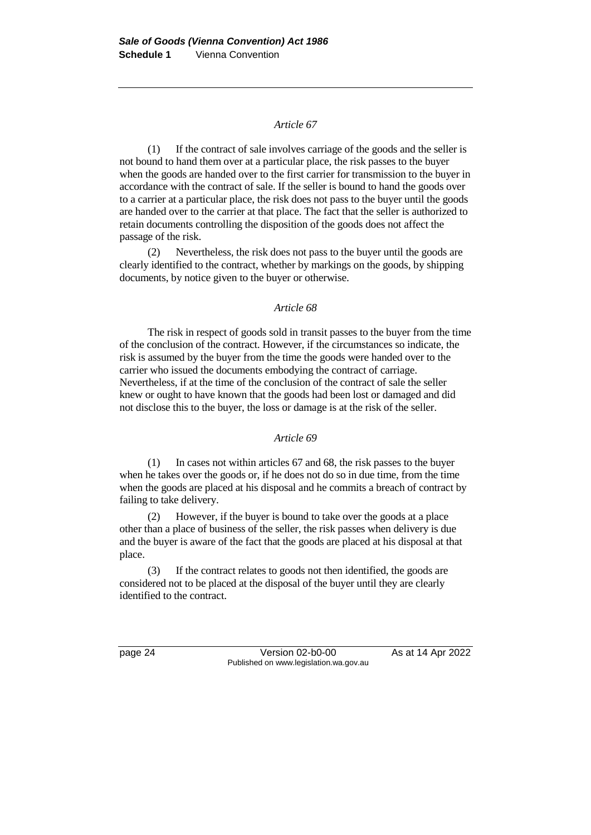(1) If the contract of sale involves carriage of the goods and the seller is not bound to hand them over at a particular place, the risk passes to the buyer when the goods are handed over to the first carrier for transmission to the buyer in accordance with the contract of sale. If the seller is bound to hand the goods over to a carrier at a particular place, the risk does not pass to the buyer until the goods are handed over to the carrier at that place. The fact that the seller is authorized to retain documents controlling the disposition of the goods does not affect the passage of the risk.

(2) Nevertheless, the risk does not pass to the buyer until the goods are clearly identified to the contract, whether by markings on the goods, by shipping documents, by notice given to the buyer or otherwise.

#### *Article 68*

The risk in respect of goods sold in transit passes to the buyer from the time of the conclusion of the contract. However, if the circumstances so indicate, the risk is assumed by the buyer from the time the goods were handed over to the carrier who issued the documents embodying the contract of carriage. Nevertheless, if at the time of the conclusion of the contract of sale the seller knew or ought to have known that the goods had been lost or damaged and did not disclose this to the buyer, the loss or damage is at the risk of the seller.

#### *Article 69*

(1) In cases not within articles 67 and 68, the risk passes to the buyer when he takes over the goods or, if he does not do so in due time, from the time when the goods are placed at his disposal and he commits a breach of contract by failing to take delivery.

(2) However, if the buyer is bound to take over the goods at a place other than a place of business of the seller, the risk passes when delivery is due and the buyer is aware of the fact that the goods are placed at his disposal at that place.

(3) If the contract relates to goods not then identified, the goods are considered not to be placed at the disposal of the buyer until they are clearly identified to the contract.

page 24 Version 02-b0-00 As at 14 Apr 2022 Published on www.legislation.wa.gov.au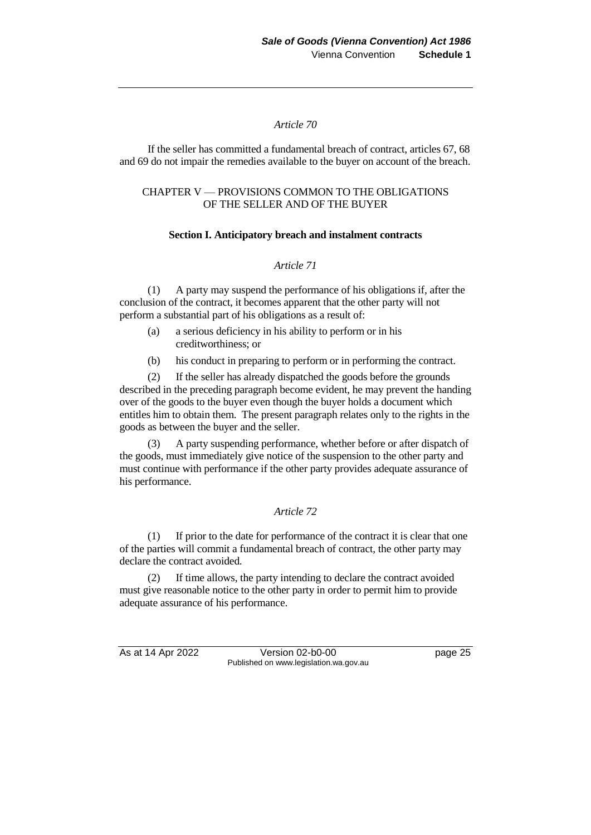If the seller has committed a fundamental breach of contract, articles 67, 68 and 69 do not impair the remedies available to the buyer on account of the breach.

## CHAPTER V — PROVISIONS COMMON TO THE OBLIGATIONS OF THE SELLER AND OF THE BUYER

## **Section I. Anticipatory breach and instalment contracts**

## *Article 71*

(1) A party may suspend the performance of his obligations if, after the conclusion of the contract, it becomes apparent that the other party will not perform a substantial part of his obligations as a result of:

- (a) a serious deficiency in his ability to perform or in his creditworthiness; or
- (b) his conduct in preparing to perform or in performing the contract.

(2) If the seller has already dispatched the goods before the grounds described in the preceding paragraph become evident, he may prevent the handing over of the goods to the buyer even though the buyer holds a document which entitles him to obtain them. The present paragraph relates only to the rights in the goods as between the buyer and the seller.

(3) A party suspending performance, whether before or after dispatch of the goods, must immediately give notice of the suspension to the other party and must continue with performance if the other party provides adequate assurance of his performance.

## *Article 72*

(1) If prior to the date for performance of the contract it is clear that one of the parties will commit a fundamental breach of contract, the other party may declare the contract avoided.

(2) If time allows, the party intending to declare the contract avoided must give reasonable notice to the other party in order to permit him to provide adequate assurance of his performance.

As at 14 Apr 2022 Version 02-b0-00 Published on www.legislation.wa.gov.au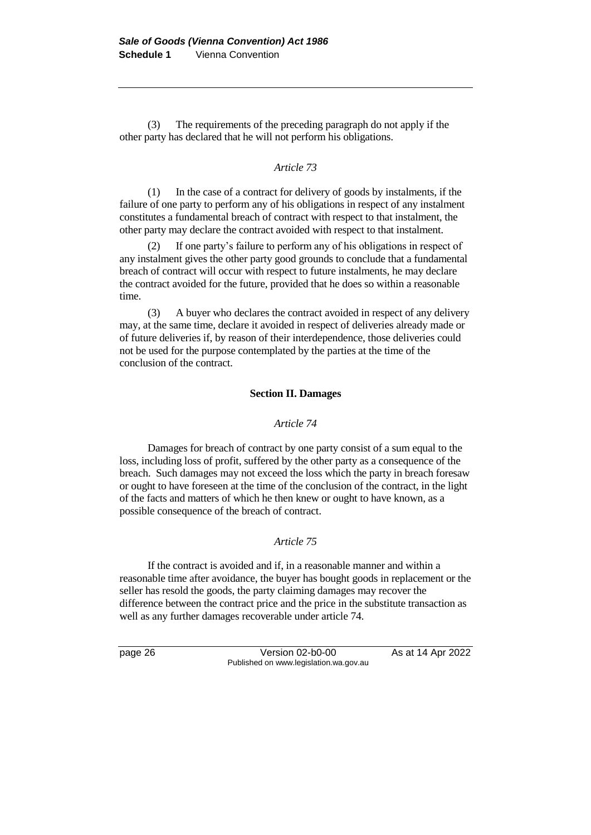(3) The requirements of the preceding paragraph do not apply if the other party has declared that he will not perform his obligations.

## *Article 73*

(1) In the case of a contract for delivery of goods by instalments, if the failure of one party to perform any of his obligations in respect of any instalment constitutes a fundamental breach of contract with respect to that instalment, the other party may declare the contract avoided with respect to that instalment.

(2) If one party's failure to perform any of his obligations in respect of any instalment gives the other party good grounds to conclude that a fundamental breach of contract will occur with respect to future instalments, he may declare the contract avoided for the future, provided that he does so within a reasonable time.

(3) A buyer who declares the contract avoided in respect of any delivery may, at the same time, declare it avoided in respect of deliveries already made or of future deliveries if, by reason of their interdependence, those deliveries could not be used for the purpose contemplated by the parties at the time of the conclusion of the contract.

#### **Section II. Damages**

#### *Article 74*

Damages for breach of contract by one party consist of a sum equal to the loss, including loss of profit, suffered by the other party as a consequence of the breach. Such damages may not exceed the loss which the party in breach foresaw or ought to have foreseen at the time of the conclusion of the contract, in the light of the facts and matters of which he then knew or ought to have known, as a possible consequence of the breach of contract.

## *Article 75*

If the contract is avoided and if, in a reasonable manner and within a reasonable time after avoidance, the buyer has bought goods in replacement or the seller has resold the goods, the party claiming damages may recover the difference between the contract price and the price in the substitute transaction as well as any further damages recoverable under article 74.

page 26 **Version 02-b0-00** As at 14 Apr 2022 Published on www.legislation.wa.gov.au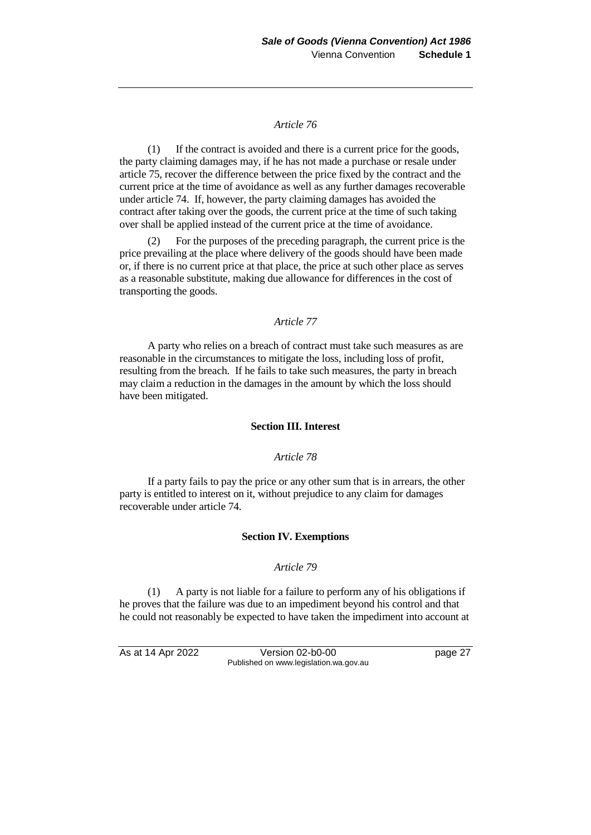(1) If the contract is avoided and there is a current price for the goods, the party claiming damages may, if he has not made a purchase or resale under article 75, recover the difference between the price fixed by the contract and the current price at the time of avoidance as well as any further damages recoverable under article 74. If, however, the party claiming damages has avoided the contract after taking over the goods, the current price at the time of such taking over shall be applied instead of the current price at the time of avoidance.

(2) For the purposes of the preceding paragraph, the current price is the price prevailing at the place where delivery of the goods should have been made or, if there is no current price at that place, the price at such other place as serves as a reasonable substitute, making due allowance for differences in the cost of transporting the goods.

## *Article 77*

A party who relies on a breach of contract must take such measures as are reasonable in the circumstances to mitigate the loss, including loss of profit, resulting from the breach. If he fails to take such measures, the party in breach may claim a reduction in the damages in the amount by which the loss should have been mitigated.

## **Section III. Interest**

## *Article 78*

If a party fails to pay the price or any other sum that is in arrears, the other party is entitled to interest on it, without prejudice to any claim for damages recoverable under article 74.

## **Section IV. Exemptions**

## *Article 79*

(1) A party is not liable for a failure to perform any of his obligations if he proves that the failure was due to an impediment beyond his control and that he could not reasonably be expected to have taken the impediment into account at

As at 14 Apr 2022 Version 02-b0-00 page 27 Published on www.legislation.wa.gov.au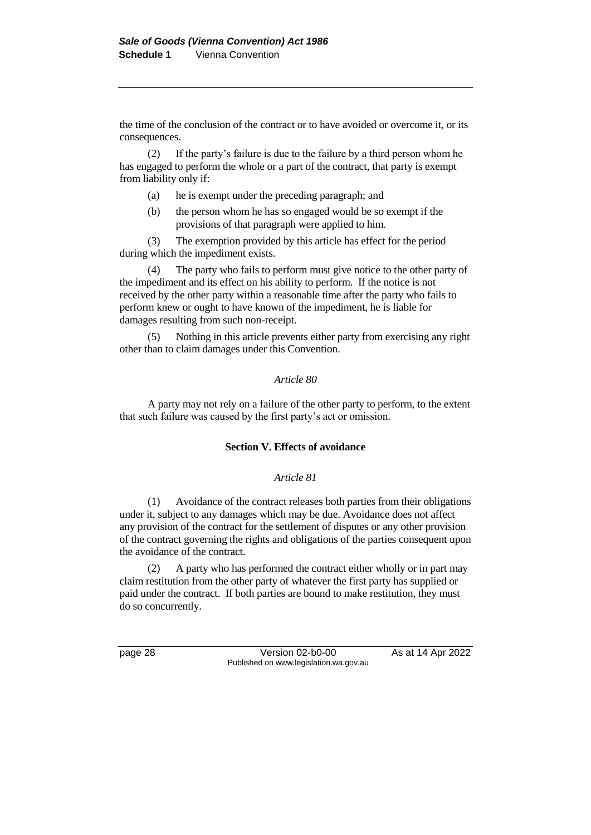the time of the conclusion of the contract or to have avoided or overcome it, or its consequences.

(2) If the party's failure is due to the failure by a third person whom he has engaged to perform the whole or a part of the contract, that party is exempt from liability only if:

- (a) he is exempt under the preceding paragraph; and
- (b) the person whom he has so engaged would be so exempt if the provisions of that paragraph were applied to him.

(3) The exemption provided by this article has effect for the period during which the impediment exists.

(4) The party who fails to perform must give notice to the other party of the impediment and its effect on his ability to perform. If the notice is not received by the other party within a reasonable time after the party who fails to perform knew or ought to have known of the impediment, he is liable for damages resulting from such non-receipt.

(5) Nothing in this article prevents either party from exercising any right other than to claim damages under this Convention.

## *Article 80*

A party may not rely on a failure of the other party to perform, to the extent that such failure was caused by the first party's act or omission.

## **Section V. Effects of avoidance**

## *Article 81*

(1) Avoidance of the contract releases both parties from their obligations under it, subject to any damages which may be due. Avoidance does not affect any provision of the contract for the settlement of disputes or any other provision of the contract governing the rights and obligations of the parties consequent upon the avoidance of the contract.

(2) A party who has performed the contract either wholly or in part may claim restitution from the other party of whatever the first party has supplied or paid under the contract. If both parties are bound to make restitution, they must do so concurrently.

page 28 **Version 02-b0-00** As at 14 Apr 2022 Published on www.legislation.wa.gov.au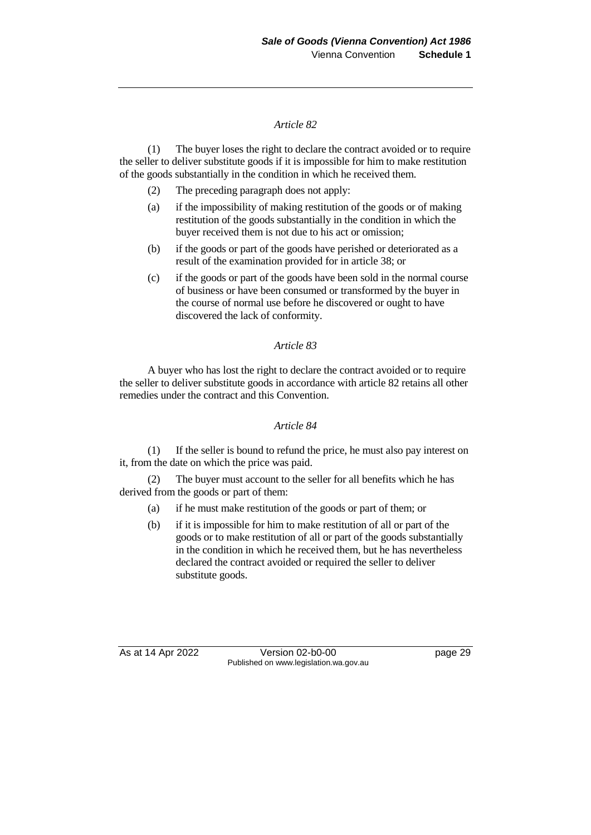(1) The buyer loses the right to declare the contract avoided or to require the seller to deliver substitute goods if it is impossible for him to make restitution of the goods substantially in the condition in which he received them.

- (2) The preceding paragraph does not apply:
- (a) if the impossibility of making restitution of the goods or of making restitution of the goods substantially in the condition in which the buyer received them is not due to his act or omission;
- (b) if the goods or part of the goods have perished or deteriorated as a result of the examination provided for in article 38; or
- (c) if the goods or part of the goods have been sold in the normal course of business or have been consumed or transformed by the buyer in the course of normal use before he discovered or ought to have discovered the lack of conformity.

## *Article 83*

A buyer who has lost the right to declare the contract avoided or to require the seller to deliver substitute goods in accordance with article 82 retains all other remedies under the contract and this Convention.

## *Article 84*

(1) If the seller is bound to refund the price, he must also pay interest on it, from the date on which the price was paid.

(2) The buyer must account to the seller for all benefits which he has derived from the goods or part of them:

- (a) if he must make restitution of the goods or part of them; or
- (b) if it is impossible for him to make restitution of all or part of the goods or to make restitution of all or part of the goods substantially in the condition in which he received them, but he has nevertheless declared the contract avoided or required the seller to deliver substitute goods.

As at 14 Apr 2022 Version 02-b0-00 Page 29 Published on www.legislation.wa.gov.au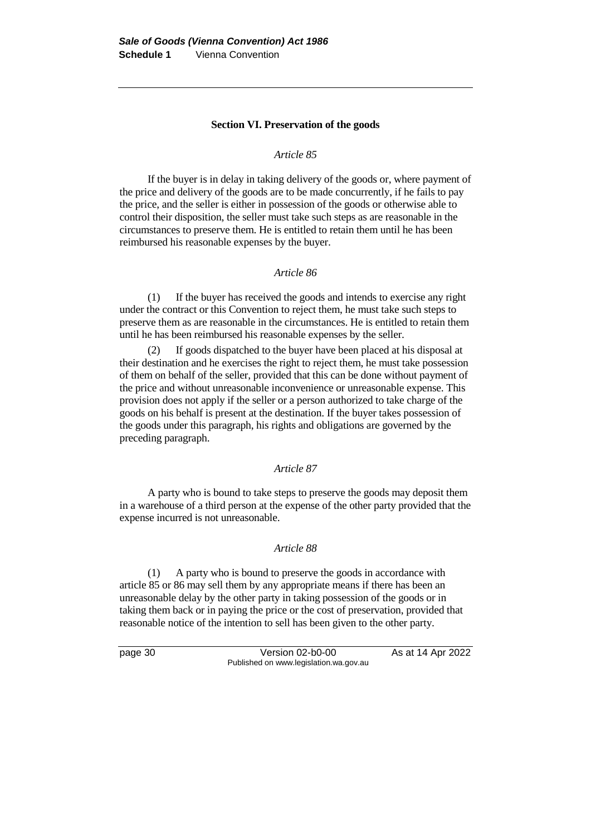#### **Section VI. Preservation of the goods**

#### *Article 85*

If the buyer is in delay in taking delivery of the goods or, where payment of the price and delivery of the goods are to be made concurrently, if he fails to pay the price, and the seller is either in possession of the goods or otherwise able to control their disposition, the seller must take such steps as are reasonable in the circumstances to preserve them. He is entitled to retain them until he has been reimbursed his reasonable expenses by the buyer.

#### *Article 86*

(1) If the buyer has received the goods and intends to exercise any right under the contract or this Convention to reject them, he must take such steps to preserve them as are reasonable in the circumstances. He is entitled to retain them until he has been reimbursed his reasonable expenses by the seller.

(2) If goods dispatched to the buyer have been placed at his disposal at their destination and he exercises the right to reject them, he must take possession of them on behalf of the seller, provided that this can be done without payment of the price and without unreasonable inconvenience or unreasonable expense. This provision does not apply if the seller or a person authorized to take charge of the goods on his behalf is present at the destination. If the buyer takes possession of the goods under this paragraph, his rights and obligations are governed by the preceding paragraph.

#### *Article 87*

A party who is bound to take steps to preserve the goods may deposit them in a warehouse of a third person at the expense of the other party provided that the expense incurred is not unreasonable.

#### *Article 88*

(1) A party who is bound to preserve the goods in accordance with article 85 or 86 may sell them by any appropriate means if there has been an unreasonable delay by the other party in taking possession of the goods or in taking them back or in paying the price or the cost of preservation, provided that reasonable notice of the intention to sell has been given to the other party.

page 30 **Version 02-b0-00** As at 14 Apr 2022 Published on www.legislation.wa.gov.au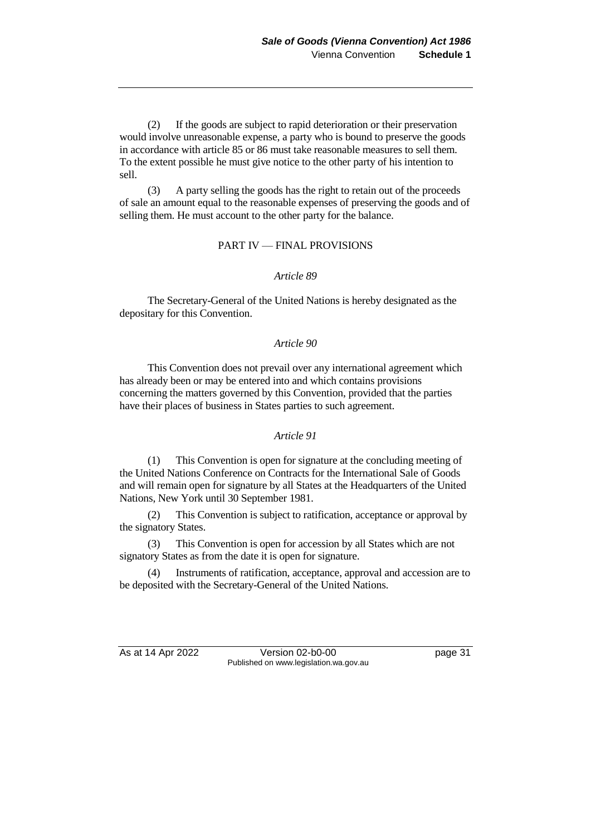(2) If the goods are subject to rapid deterioration or their preservation would involve unreasonable expense, a party who is bound to preserve the goods in accordance with article 85 or 86 must take reasonable measures to sell them. To the extent possible he must give notice to the other party of his intention to sell.

(3) A party selling the goods has the right to retain out of the proceeds of sale an amount equal to the reasonable expenses of preserving the goods and of selling them. He must account to the other party for the balance.

#### PART IV — FINAL PROVISIONS

#### *Article 89*

The Secretary-General of the United Nations is hereby designated as the depositary for this Convention.

#### *Article 90*

This Convention does not prevail over any international agreement which has already been or may be entered into and which contains provisions concerning the matters governed by this Convention, provided that the parties have their places of business in States parties to such agreement.

#### *Article 91*

(1) This Convention is open for signature at the concluding meeting of the United Nations Conference on Contracts for the International Sale of Goods and will remain open for signature by all States at the Headquarters of the United Nations, New York until 30 September 1981.

(2) This Convention is subject to ratification, acceptance or approval by the signatory States.

(3) This Convention is open for accession by all States which are not signatory States as from the date it is open for signature.

(4) Instruments of ratification, acceptance, approval and accession are to be deposited with the Secretary-General of the United Nations.

As at 14 Apr 2022 Version 02-b0-00 Page 31 Published on www.legislation.wa.gov.au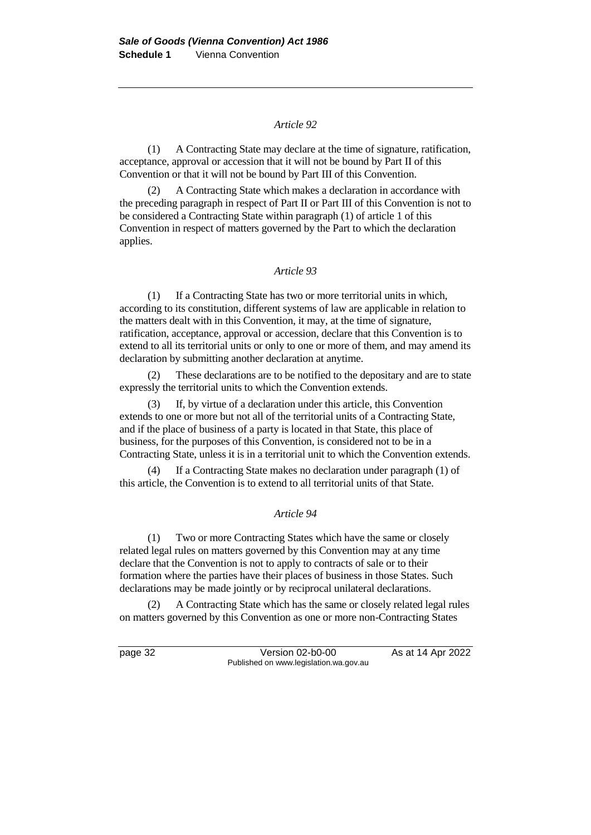(1) A Contracting State may declare at the time of signature, ratification, acceptance, approval or accession that it will not be bound by Part II of this Convention or that it will not be bound by Part III of this Convention.

(2) A Contracting State which makes a declaration in accordance with the preceding paragraph in respect of Part II or Part III of this Convention is not to be considered a Contracting State within paragraph (1) of article 1 of this Convention in respect of matters governed by the Part to which the declaration applies.

## *Article 93*

(1) If a Contracting State has two or more territorial units in which, according to its constitution, different systems of law are applicable in relation to the matters dealt with in this Convention, it may, at the time of signature, ratification, acceptance, approval or accession, declare that this Convention is to extend to all its territorial units or only to one or more of them, and may amend its declaration by submitting another declaration at anytime.

(2) These declarations are to be notified to the depositary and are to state expressly the territorial units to which the Convention extends.

(3) If, by virtue of a declaration under this article, this Convention extends to one or more but not all of the territorial units of a Contracting State, and if the place of business of a party is located in that State, this place of business, for the purposes of this Convention, is considered not to be in a Contracting State, unless it is in a territorial unit to which the Convention extends.

(4) If a Contracting State makes no declaration under paragraph (1) of this article, the Convention is to extend to all territorial units of that State.

#### *Article 94*

(1) Two or more Contracting States which have the same or closely related legal rules on matters governed by this Convention may at any time declare that the Convention is not to apply to contracts of sale or to their formation where the parties have their places of business in those States. Such declarations may be made jointly or by reciprocal unilateral declarations.

(2) A Contracting State which has the same or closely related legal rules on matters governed by this Convention as one or more non-Contracting States

page 32 Version 02-b0-00 As at 14 Apr 2022 Published on www.legislation.wa.gov.au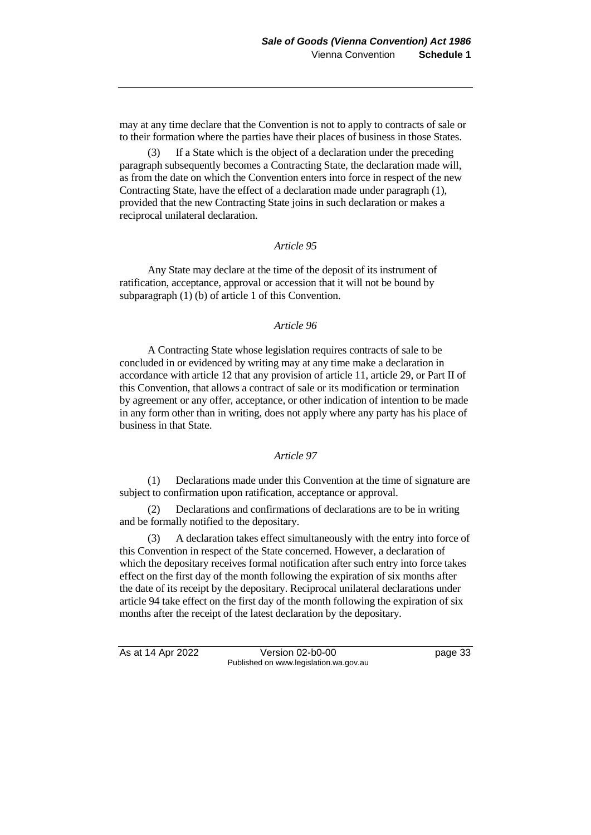may at any time declare that the Convention is not to apply to contracts of sale or to their formation where the parties have their places of business in those States.

If a State which is the object of a declaration under the preceding paragraph subsequently becomes a Contracting State, the declaration made will, as from the date on which the Convention enters into force in respect of the new Contracting State, have the effect of a declaration made under paragraph (1), provided that the new Contracting State joins in such declaration or makes a reciprocal unilateral declaration.

## *Article 95*

Any State may declare at the time of the deposit of its instrument of ratification, acceptance, approval or accession that it will not be bound by subparagraph (1) (b) of article 1 of this Convention.

## *Article 96*

A Contracting State whose legislation requires contracts of sale to be concluded in or evidenced by writing may at any time make a declaration in accordance with article 12 that any provision of article 11, article 29, or Part II of this Convention, that allows a contract of sale or its modification or termination by agreement or any offer, acceptance, or other indication of intention to be made in any form other than in writing, does not apply where any party has his place of business in that State.

## *Article 97*

(1) Declarations made under this Convention at the time of signature are subject to confirmation upon ratification, acceptance or approval.

(2) Declarations and confirmations of declarations are to be in writing and be formally notified to the depositary.

(3) A declaration takes effect simultaneously with the entry into force of this Convention in respect of the State concerned. However, a declaration of which the depositary receives formal notification after such entry into force takes effect on the first day of the month following the expiration of six months after the date of its receipt by the depositary. Reciprocal unilateral declarations under article 94 take effect on the first day of the month following the expiration of six months after the receipt of the latest declaration by the depositary.

As at 14 Apr 2022 Version 02-b0-00 page 33 Published on www.legislation.wa.gov.au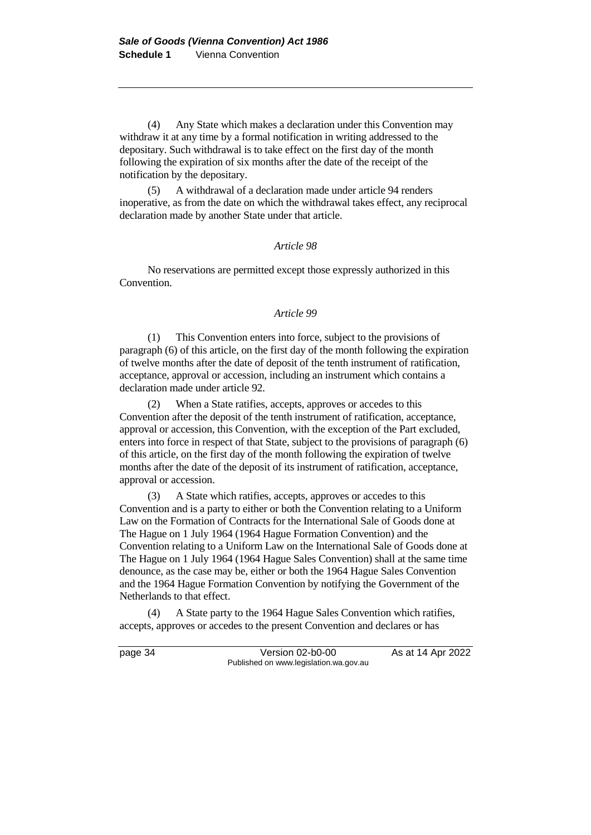(4) Any State which makes a declaration under this Convention may withdraw it at any time by a formal notification in writing addressed to the depositary. Such withdrawal is to take effect on the first day of the month following the expiration of six months after the date of the receipt of the notification by the depositary.

(5) A withdrawal of a declaration made under article 94 renders inoperative, as from the date on which the withdrawal takes effect, any reciprocal declaration made by another State under that article.

#### *Article 98*

No reservations are permitted except those expressly authorized in this Convention.

## *Article 99*

(1) This Convention enters into force, subject to the provisions of paragraph (6) of this article, on the first day of the month following the expiration of twelve months after the date of deposit of the tenth instrument of ratification, acceptance, approval or accession, including an instrument which contains a declaration made under article 92.

(2) When a State ratifies, accepts, approves or accedes to this Convention after the deposit of the tenth instrument of ratification, acceptance, approval or accession, this Convention, with the exception of the Part excluded, enters into force in respect of that State, subject to the provisions of paragraph (6) of this article, on the first day of the month following the expiration of twelve months after the date of the deposit of its instrument of ratification, acceptance, approval or accession.

(3) A State which ratifies, accepts, approves or accedes to this Convention and is a party to either or both the Convention relating to a Uniform Law on the Formation of Contracts for the International Sale of Goods done at The Hague on 1 July 1964 (1964 Hague Formation Convention) and the Convention relating to a Uniform Law on the International Sale of Goods done at The Hague on 1 July 1964 (1964 Hague Sales Convention) shall at the same time denounce, as the case may be, either or both the 1964 Hague Sales Convention and the 1964 Hague Formation Convention by notifying the Government of the Netherlands to that effect.

(4) A State party to the 1964 Hague Sales Convention which ratifies, accepts, approves or accedes to the present Convention and declares or has

page 34 Version 02-b0-00 As at 14 Apr 2022 Published on www.legislation.wa.gov.au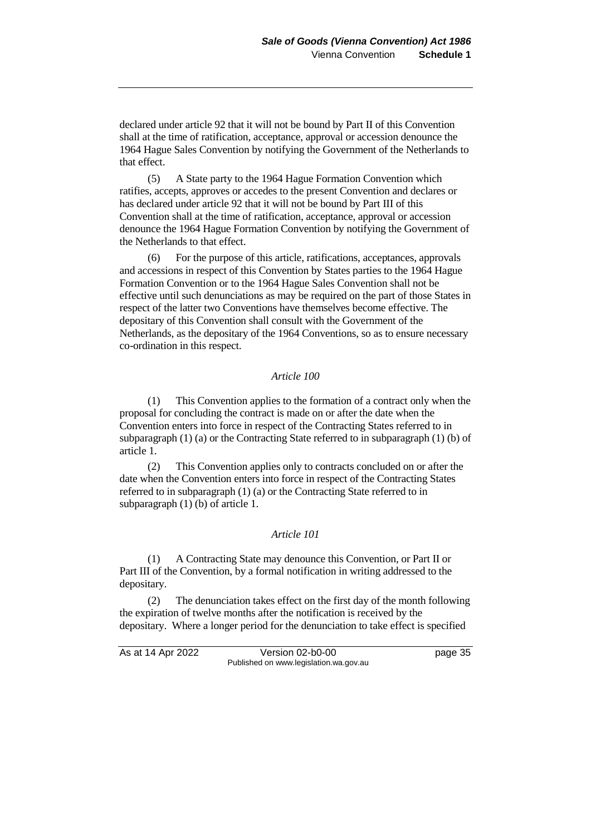declared under article 92 that it will not be bound by Part II of this Convention shall at the time of ratification, acceptance, approval or accession denounce the 1964 Hague Sales Convention by notifying the Government of the Netherlands to that effect.

(5) A State party to the 1964 Hague Formation Convention which ratifies, accepts, approves or accedes to the present Convention and declares or has declared under article 92 that it will not be bound by Part III of this Convention shall at the time of ratification, acceptance, approval or accession denounce the 1964 Hague Formation Convention by notifying the Government of the Netherlands to that effect.

(6) For the purpose of this article, ratifications, acceptances, approvals and accessions in respect of this Convention by States parties to the 1964 Hague Formation Convention or to the 1964 Hague Sales Convention shall not be effective until such denunciations as may be required on the part of those States in respect of the latter two Conventions have themselves become effective. The depositary of this Convention shall consult with the Government of the Netherlands, as the depositary of the 1964 Conventions, so as to ensure necessary co-ordination in this respect.

## *Article 100*

(1) This Convention applies to the formation of a contract only when the proposal for concluding the contract is made on or after the date when the Convention enters into force in respect of the Contracting States referred to in subparagraph (1) (a) or the Contracting State referred to in subparagraph (1) (b) of article 1.

(2) This Convention applies only to contracts concluded on or after the date when the Convention enters into force in respect of the Contracting States referred to in subparagraph (1) (a) or the Contracting State referred to in subparagraph (1) (b) of article 1.

#### *Article 101*

(1) A Contracting State may denounce this Convention, or Part II or Part III of the Convention, by a formal notification in writing addressed to the depositary.

(2) The denunciation takes effect on the first day of the month following the expiration of twelve months after the notification is received by the depositary. Where a longer period for the denunciation to take effect is specified

| As at 14 Apr 2022 | Version 02-b0-00                       | page 35 |
|-------------------|----------------------------------------|---------|
|                   | Published on www.legislation.wa.gov.au |         |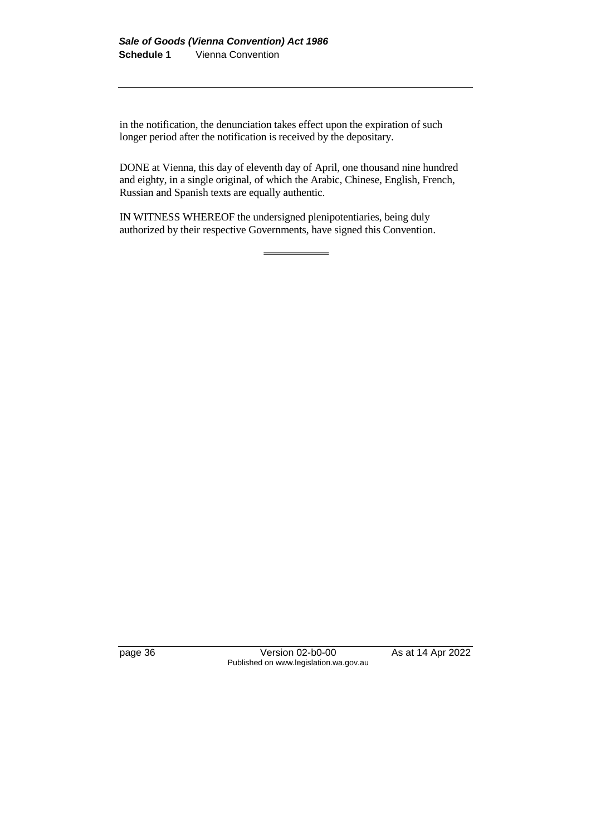in the notification, the denunciation takes effect upon the expiration of such longer period after the notification is received by the depositary.

DONE at Vienna, this day of eleventh day of April, one thousand nine hundred and eighty, in a single original, of which the Arabic, Chinese, English, French, Russian and Spanish texts are equally authentic.

IN WITNESS WHEREOF the undersigned plenipotentiaries, being duly authorized by their respective Governments, have signed this Convention.

page 36 Version 02-b0-00 As at 14 Apr 2022 Published on www.legislation.wa.gov.au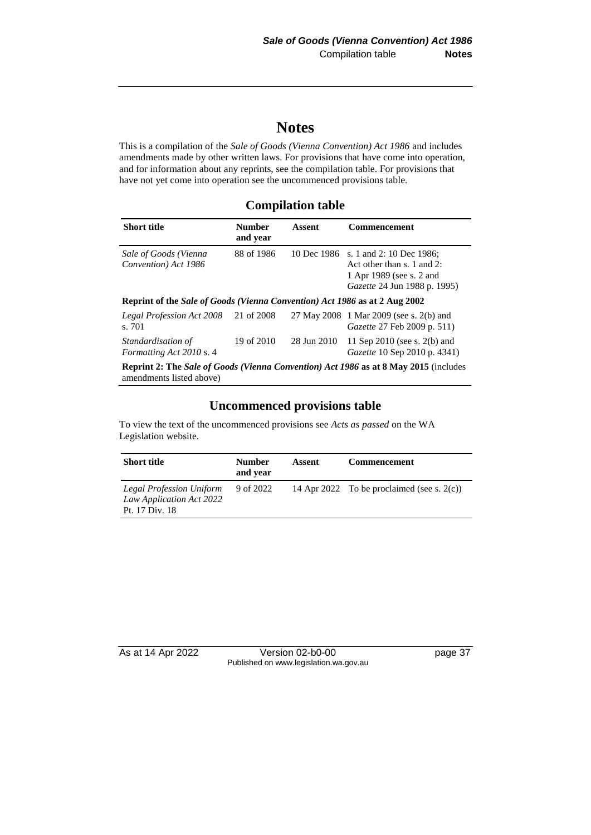# **Notes**

This is a compilation of the *Sale of Goods (Vienna Convention) Act 1986* and includes amendments made by other written laws. For provisions that have come into operation, and for information about any reprints, see the compilation table. For provisions that have not yet come into operation see the uncommenced provisions table.

## **Compilation table**

| <b>Short title</b>                                                         | <b>Number</b><br>and year | Assent      | <b>Commencement</b>                                                                                                |
|----------------------------------------------------------------------------|---------------------------|-------------|--------------------------------------------------------------------------------------------------------------------|
| Sale of Goods (Vienna<br>Convention) Act 1986                              | 88 of 1986                | 10 Dec 1986 | s. 1 and 2: 10 Dec 1986;<br>Act other than s. 1 and 2:<br>1 Apr 1989 (see s. 2 and<br>Gazette 24 Jun 1988 p. 1995) |
| Reprint of the Sale of Goods (Vienna Convention) Act 1986 as at 2 Aug 2002 |                           |             |                                                                                                                    |
| Legal Profession Act 2008<br>s. 701                                        | 21 of 2008                |             | 27 May 2008 1 Mar 2009 (see s. 2(b) and<br><i>Gazette</i> 27 Feb 2009 p. 511)                                      |
| Standardisation of<br>Formatting Act 2010 s. 4                             | 19 of 2010                | 28 Jun 2010 | 11 Sep 2010 (see s. 2(b) and<br><i>Gazette</i> 10 Sep 2010 p. 4341)                                                |
| amendments listed above)                                                   |                           |             | <b>Reprint 2: The Sale of Goods (Vienna Convention) Act 1986 as at 8 May 2015 (includes</b>                        |

## **Uncommenced provisions table**

To view the text of the uncommenced provisions see *Acts as passed* on the WA Legislation website.

| <b>Short title</b>                                                     | <b>Number</b><br>and year | Assent | <b>Commencement</b>                           |
|------------------------------------------------------------------------|---------------------------|--------|-----------------------------------------------|
| Legal Profession Uniform<br>Law Application Act 2022<br>Pt. 17 Div. 18 | 9 of 2022                 |        | 14 Apr 2022 To be proclaimed (see s. $2(c)$ ) |

As at 14 Apr 2022 Version 02-b0-00 page 37 Published on www.legislation.wa.gov.au